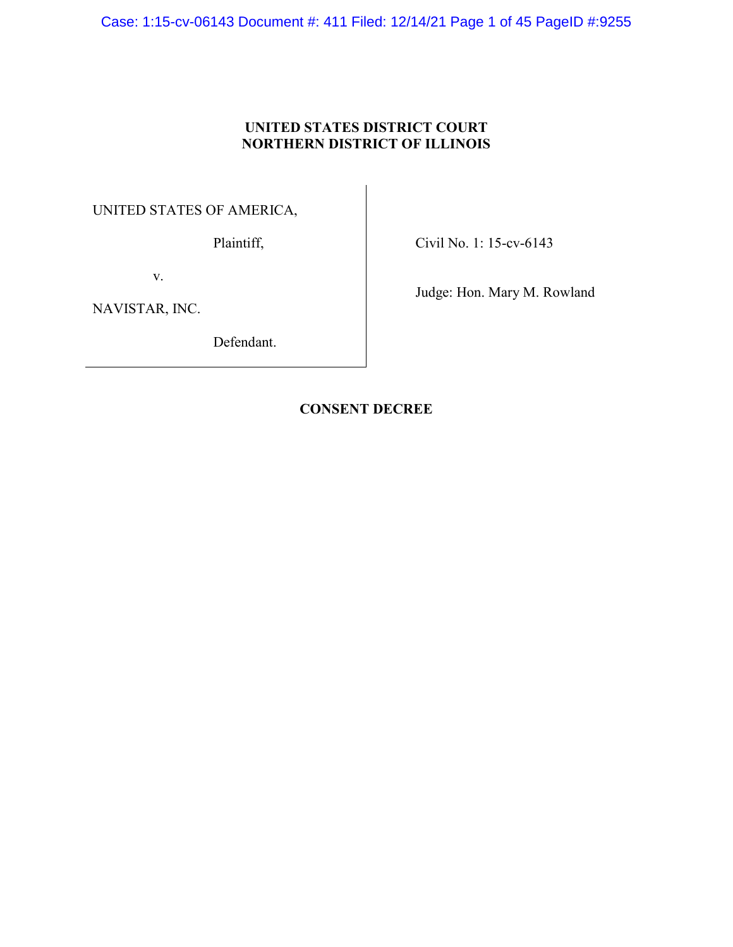Case: 1:15-cv-06143 Document #: 411 Filed: 12/14/21 Page 1 of 45 PageID #:9255

## **UNITED STATES DISTRICT COURT NORTHERN DISTRICT OF ILLINOIS**

UNITED STATES OF AMERICA,

Plaintiff,

Civil No. 1: 15-cv-6143

v.

NAVISTAR, INC.

Defendant.

Judge: Hon. Mary M. Rowland

## **CONSENT DECREE**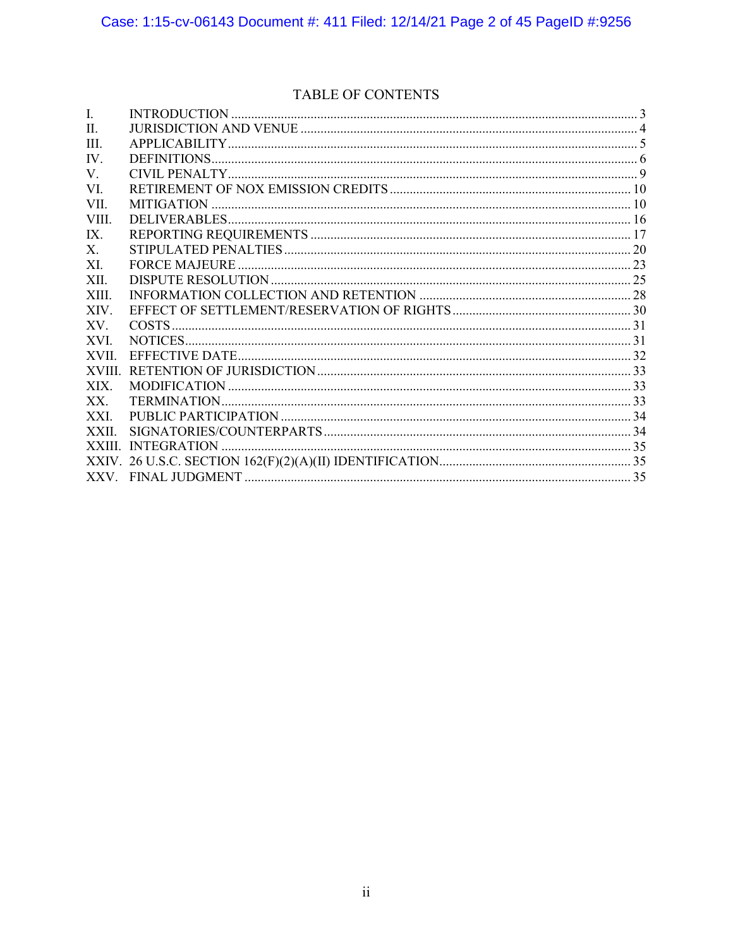# TABLE OF CONTENTS

| I.              |  |
|-----------------|--|
| $\mathbf{II}$ . |  |
| III.            |  |
| IV.             |  |
| $V_{\cdot}$     |  |
| VI.             |  |
| VII.            |  |
| VIII.           |  |
| IX.             |  |
| $X_{-}$         |  |
| XI.             |  |
| XII.            |  |
| XIII.           |  |
| XIV.            |  |
| XV.             |  |
| XVI.            |  |
| XVII.           |  |
| <b>XVIII</b>    |  |
| XIX.            |  |
| XX.             |  |
| XXI.            |  |
| XXII.           |  |
|                 |  |
|                 |  |
|                 |  |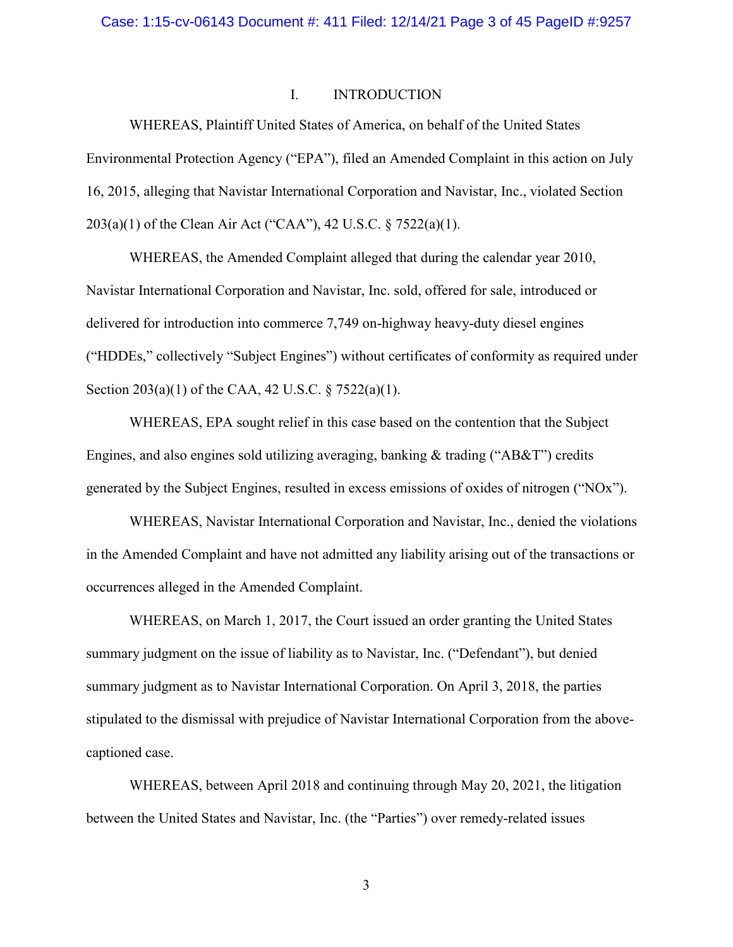## I. INTRODUCTION

WHEREAS, Plaintiff United States of America, on behalf of the United States Environmental Protection Agency ("EPA"), filed an Amended Complaint in this action on July 16, 2015, alleging that Navistar International Corporation and Navistar, Inc., violated Section 203(a)(1) of the Clean Air Act ("CAA"), 42 U.S.C. § 7522(a)(1).

WHEREAS, the Amended Complaint alleged that during the calendar year 2010, Navistar International Corporation and Navistar, Inc. sold, offered for sale, introduced or delivered for introduction into commerce 7,749 on-highway heavy-duty diesel engines ("HDDEs," collectively "Subject Engines") without certificates of conformity as required under Section 203(a)(1) of the CAA, 42 U.S.C. § 7522(a)(1).

WHEREAS, EPA sought relief in this case based on the contention that the Subject Engines, and also engines sold utilizing averaging, banking & trading ("AB&T") credits generated by the Subject Engines, resulted in excess emissions of oxides of nitrogen ("NOx").

WHEREAS, Navistar International Corporation and Navistar, Inc., denied the violations in the Amended Complaint and have not admitted any liability arising out of the transactions or occurrences alleged in the Amended Complaint.

WHEREAS, on March 1, 2017, the Court issued an order granting the United States summary judgment on the issue of liability as to Navistar, Inc. ("Defendant"), but denied summary judgment as to Navistar International Corporation. On April 3, 2018, the parties stipulated to the dismissal with prejudice of Navistar International Corporation from the abovecaptioned case.

WHEREAS, between April 2018 and continuing through May 20, 2021, the litigation between the United States and Navistar, Inc. (the "Parties") over remedy-related issues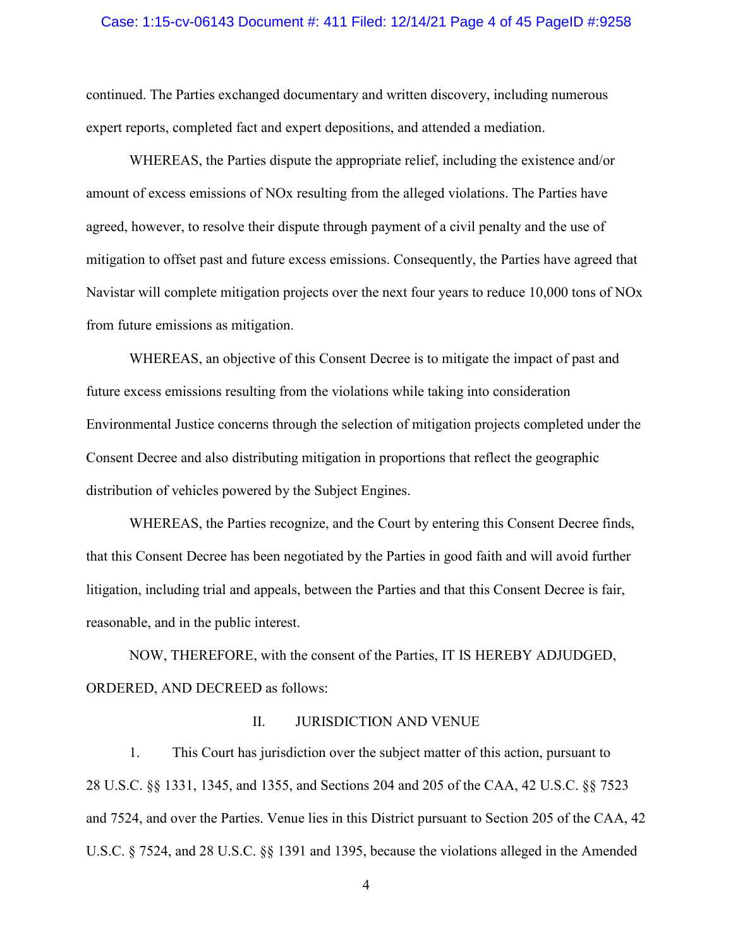#### Case: 1:15-cv-06143 Document #: 411 Filed: 12/14/21 Page 4 of 45 PageID #:9258

continued. The Parties exchanged documentary and written discovery, including numerous expert reports, completed fact and expert depositions, and attended a mediation.

WHEREAS, the Parties dispute the appropriate relief, including the existence and/or amount of excess emissions of NOx resulting from the alleged violations. The Parties have agreed, however, to resolve their dispute through payment of a civil penalty and the use of mitigation to offset past and future excess emissions. Consequently, the Parties have agreed that Navistar will complete mitigation projects over the next four years to reduce 10,000 tons of NOx from future emissions as mitigation.

WHEREAS, an objective of this Consent Decree is to mitigate the impact of past and future excess emissions resulting from the violations while taking into consideration Environmental Justice concerns through the selection of mitigation projects completed under the Consent Decree and also distributing mitigation in proportions that reflect the geographic distribution of vehicles powered by the Subject Engines.

WHEREAS, the Parties recognize, and the Court by entering this Consent Decree finds, that this Consent Decree has been negotiated by the Parties in good faith and will avoid further litigation, including trial and appeals, between the Parties and that this Consent Decree is fair, reasonable, and in the public interest.

NOW, THEREFORE, with the consent of the Parties, IT IS HEREBY ADJUDGED, ORDERED, AND DECREED as follows:

#### II. JURISDICTION AND VENUE

1. This Court has jurisdiction over the subject matter of this action, pursuant to 28 U.S.C. §§ 1331, 1345, and 1355, and Sections 204 and 205 of the CAA, 42 U.S.C. §§ 7523 and 7524, and over the Parties. Venue lies in this District pursuant to Section 205 of the CAA, 42 U.S.C. § 7524, and 28 U.S.C. §§ 1391 and 1395, because the violations alleged in the Amended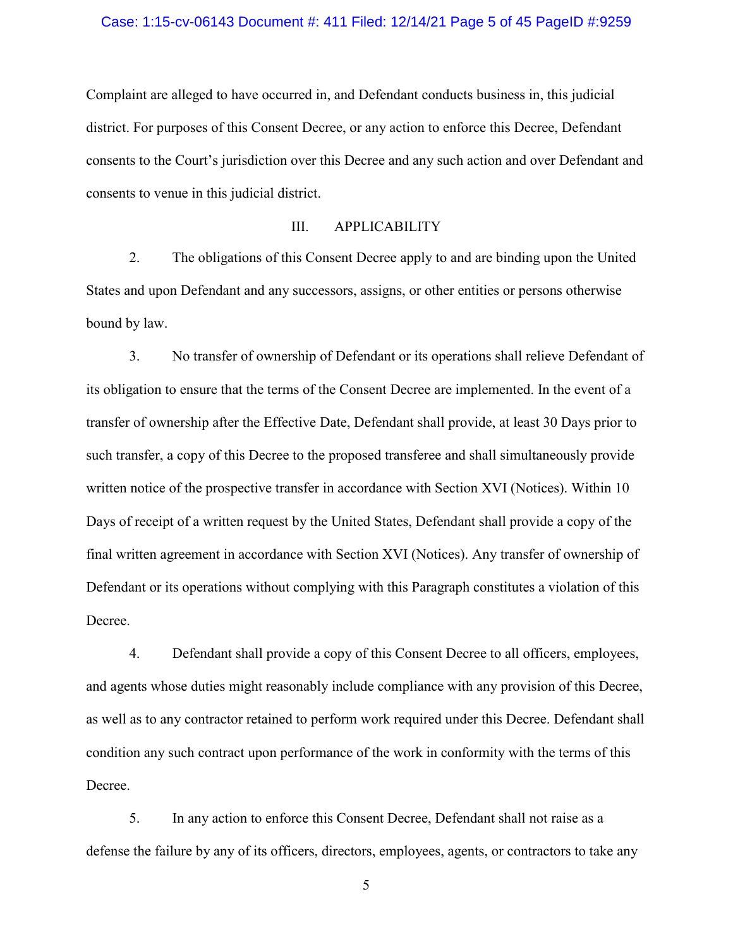#### Case: 1:15-cv-06143 Document #: 411 Filed: 12/14/21 Page 5 of 45 PageID #:9259

Complaint are alleged to have occurred in, and Defendant conducts business in, this judicial district. For purposes of this Consent Decree, or any action to enforce this Decree, Defendant consents to the Court's jurisdiction over this Decree and any such action and over Defendant and consents to venue in this judicial district.

## III. APPLICABILITY

2. The obligations of this Consent Decree apply to and are binding upon the United States and upon Defendant and any successors, assigns, or other entities or persons otherwise bound by law.

3. No transfer of ownership of Defendant or its operations shall relieve Defendant of its obligation to ensure that the terms of the Consent Decree are implemented. In the event of a transfer of ownership after the Effective Date, Defendant shall provide, at least 30 Days prior to such transfer, a copy of this Decree to the proposed transferee and shall simultaneously provide written notice of the prospective transfer in accordance with Section [XVI](#page-30-0) (Notices). Within 10 Days of receipt of a written request by the United States, Defendant shall provide a copy of the final written agreement in accordance with Section XVI (Notices). Any transfer of ownership of Defendant or its operations without complying with this Paragraph constitutes a violation of this Decree.

4. Defendant shall provide a copy of this Consent Decree to all officers, employees, and agents whose duties might reasonably include compliance with any provision of this Decree, as well as to any contractor retained to perform work required under this Decree. Defendant shall condition any such contract upon performance of the work in conformity with the terms of this Decree.

5. In any action to enforce this Consent Decree, Defendant shall not raise as a defense the failure by any of its officers, directors, employees, agents, or contractors to take any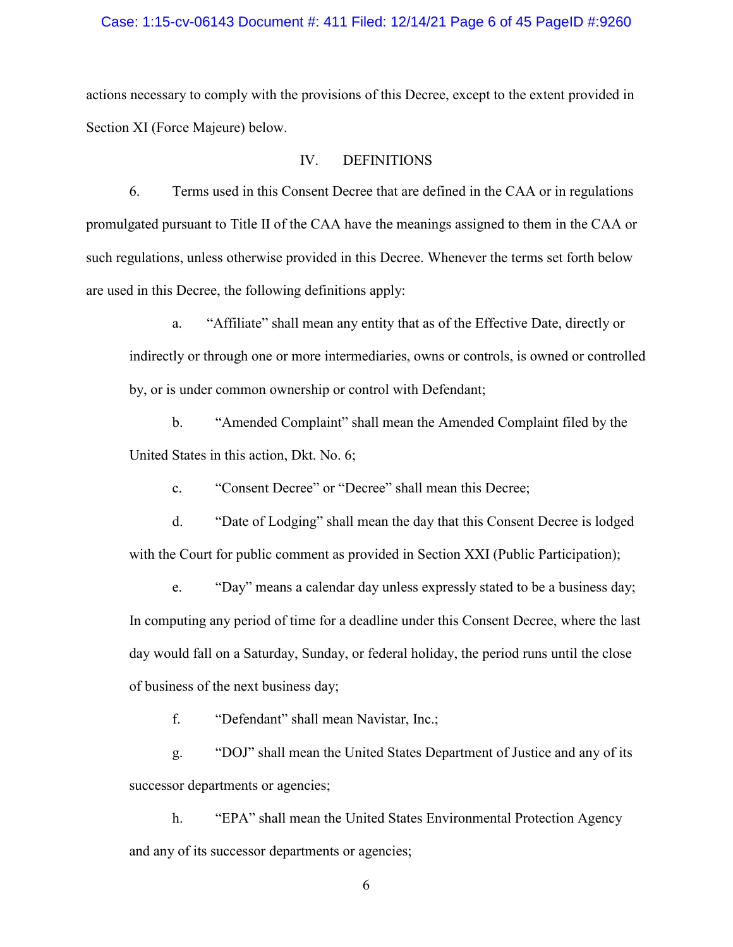#### Case: 1:15-cv-06143 Document #: 411 Filed: 12/14/21 Page 6 of 45 PageID #:9260

actions necessary to comply with the provisions of this Decree, except to the extent provided in Section XI (Force Majeure) below.

## IV. DEFINITIONS

6. Terms used in this Consent Decree that are defined in the CAA or in regulations promulgated pursuant to Title II of the CAA have the meanings assigned to them in the CAA or such regulations, unless otherwise provided in this Decree. Whenever the terms set forth below are used in this Decree, the following definitions apply:

a. "Affiliate" shall mean any entity that as of the Effective Date, directly or indirectly or through one or more intermediaries, owns or controls, is owned or controlled by, or is under common ownership or control with Defendant;

b. "Amended Complaint" shall mean the Amended Complaint filed by the United States in this action, Dkt. No. 6;

c. "Consent Decree" or "Decree" shall mean this Decree;

d. "Date of Lodging" shall mean the day that this Consent Decree is lodged with the Court for public comment as provided in Section [XXI](#page-33-0) (Public Participation);

e. "Day" means a calendar day unless expressly stated to be a business day; In computing any period of time for a deadline under this Consent Decree, where the last day would fall on a Saturday, Sunday, or federal holiday, the period runs until the close of business of the next business day;

f. "Defendant" shall mean Navistar, Inc.;

g. "DOJ" shall mean the United States Department of Justice and any of its successor departments or agencies;

h. "EPA" shall mean the United States Environmental Protection Agency and any of its successor departments or agencies;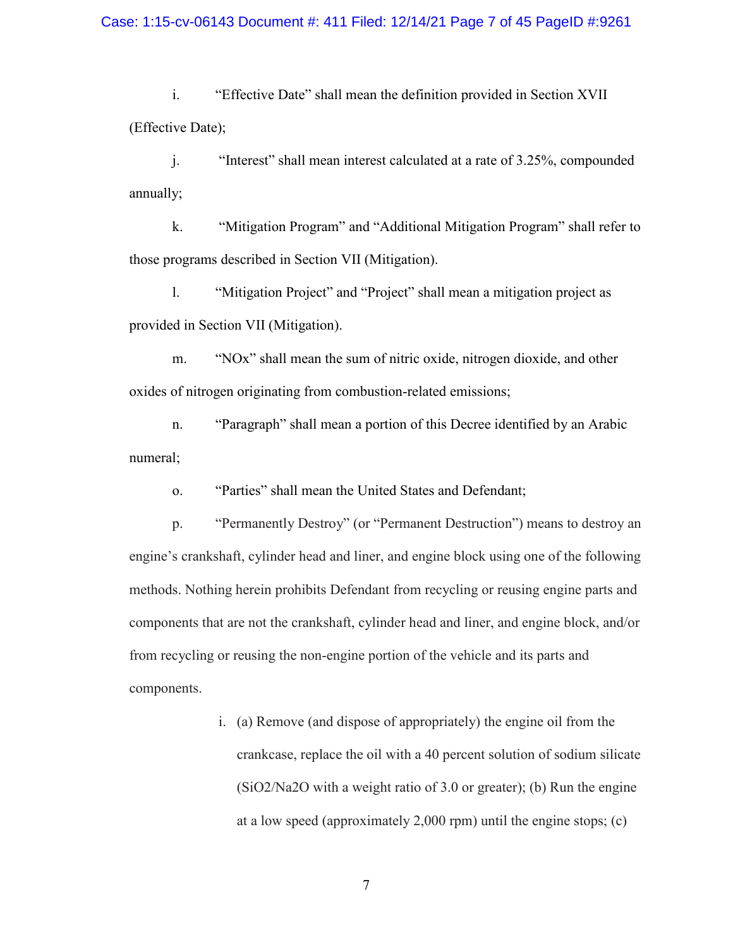## Case: 1:15-cv-06143 Document #: 411 Filed: 12/14/21 Page 7 of 45 PageID #:9261

i. "Effective Date" shall mean the definition provided in Section [XVII](#page-31-0) (Effective Date);

j. "Interest" shall mean interest calculated at a rate of 3.25%, compounded annually;

k. "Mitigation Program" and "Additional Mitigation Program" shall refer to those programs described in Section [VII](#page-9-0) (Mitigation).

l. "Mitigation Project" and "Project" shall mean a mitigation project as provided in Section [VII](#page-9-0) (Mitigation).

m. "NOx" shall mean the sum of nitric oxide, nitrogen dioxide, and other oxides of nitrogen originating from combustion-related emissions;

n. "Paragraph" shall mean a portion of this Decree identified by an Arabic numeral;

o. "Parties" shall mean the United States and Defendant;

p. "Permanently Destroy" (or "Permanent Destruction") means to destroy an engine's crankshaft, cylinder head and liner, and engine block using one of the following methods. Nothing herein prohibits Defendant from recycling or reusing engine parts and components that are not the crankshaft, cylinder head and liner, and engine block, and/or from recycling or reusing the non-engine portion of the vehicle and its parts and components.

> i. (a) Remove (and dispose of appropriately) the engine oil from the crankcase, replace the oil with a 40 percent solution of sodium silicate (SiO2/Na2O with a weight ratio of 3.0 or greater); (b) Run the engine at a low speed (approximately 2,000 rpm) until the engine stops; (c)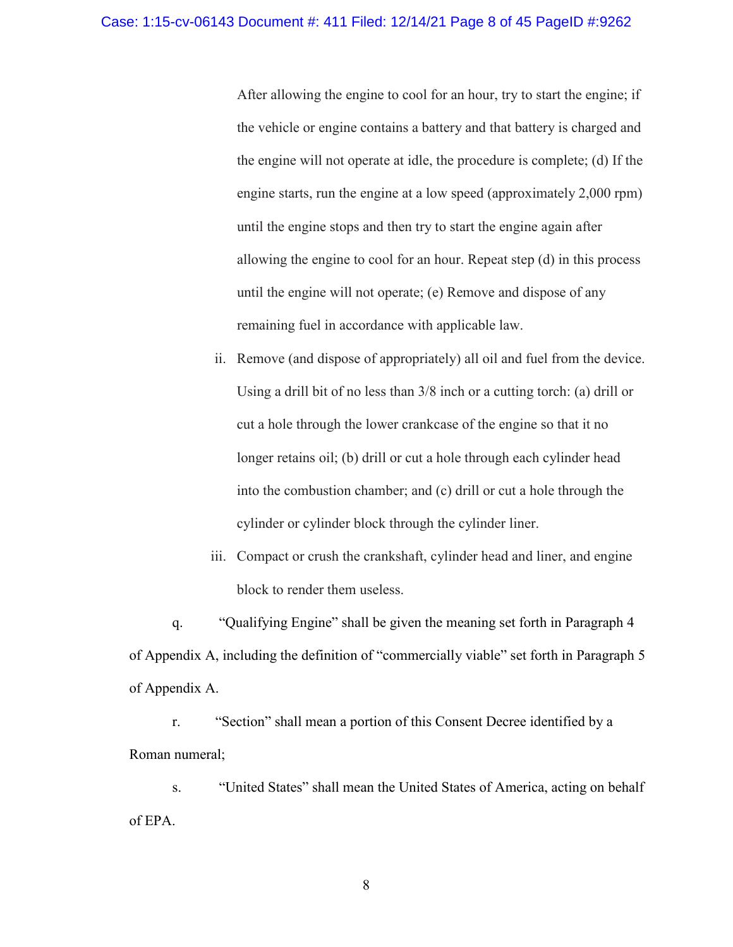After allowing the engine to cool for an hour, try to start the engine; if the vehicle or engine contains a battery and that battery is charged and the engine will not operate at idle, the procedure is complete; (d) If the engine starts, run the engine at a low speed (approximately 2,000 rpm) until the engine stops and then try to start the engine again after allowing the engine to cool for an hour. Repeat step (d) in this process until the engine will not operate; (e) Remove and dispose of any remaining fuel in accordance with applicable law.

ii. Remove (and dispose of appropriately) all oil and fuel from the device. Using a drill bit of no less than 3/8 inch or a cutting torch: (a) drill or cut a hole through the lower crankcase of the engine so that it no longer retains oil; (b) drill or cut a hole through each cylinder head into the combustion chamber; and (c) drill or cut a hole through the cylinder or cylinder block through the cylinder liner.

iii. Compact or crush the crankshaft, cylinder head and liner, and engine block to render them useless.

q. "Qualifying Engine" shall be given the meaning set forth in Paragraph 4 of Appendix A, including the definition of "commercially viable" set forth in Paragraph 5 of Appendix A.

r. "Section" shall mean a portion of this Consent Decree identified by a Roman numeral;

s. "United States" shall mean the United States of America, acting on behalf of EPA.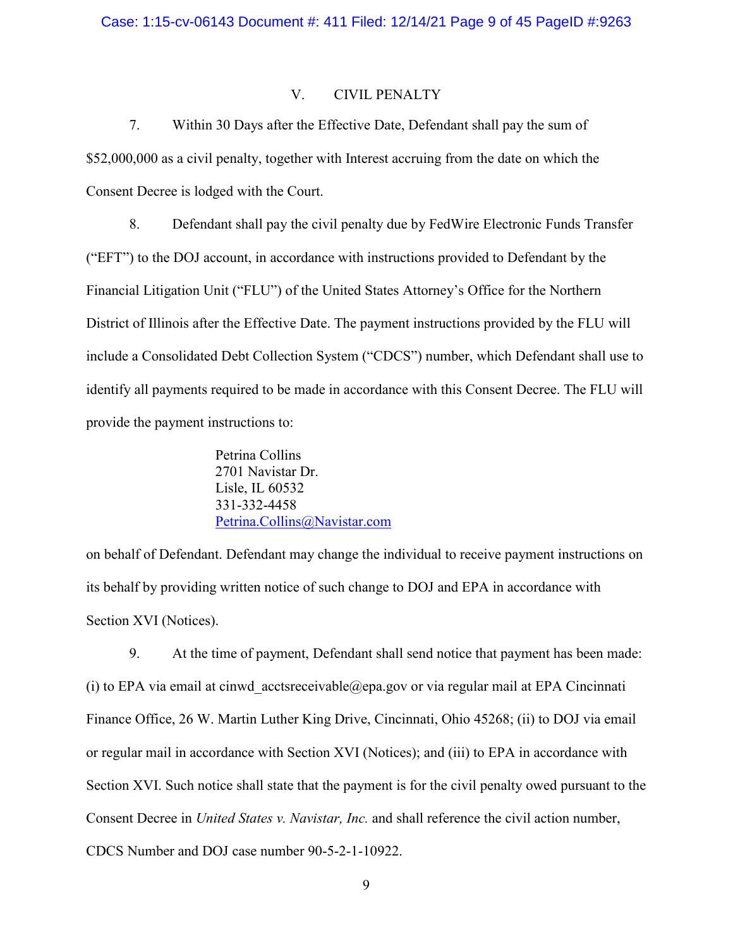## V. CIVIL PENALTY

<span id="page-8-0"></span>7. Within 30 Days after the Effective Date, Defendant shall pay the sum of \$52,000,000 as a civil penalty, together with Interest accruing from the date on which the Consent Decree is lodged with the Court.

<span id="page-8-1"></span>8. Defendant shall pay the civil penalty due by FedWire Electronic Funds Transfer ("EFT") to the DOJ account, in accordance with instructions provided to Defendant by the Financial Litigation Unit ("FLU") of the United States Attorney's Office for the Northern District of Illinois after the Effective Date. The payment instructions provided by the FLU will include a Consolidated Debt Collection System ("CDCS") number, which Defendant shall use to identify all payments required to be made in accordance with this Consent Decree. The FLU will provide the payment instructions to:

> Petrina Collins 2701 Navistar Dr. Lisle, IL 60532 331-332-4458 [Petrina.Collins@Navistar.com](mailto:Petrina.Collins@Navistar.com)

on behalf of Defendant. Defendant may change the individual to receive payment instructions on its behalf by providing written notice of such change to DOJ and EPA in accordance with Section [XVI](#page-30-0) (Notices).

<span id="page-8-2"></span>9. At the time of payment, Defendant shall send notice that payment has been made: (i) to EPA via email at cinwd acctsreceivable@epa.gov or via regular mail at EPA Cincinnati Finance Office, 26 W. Martin Luther King Drive, Cincinnati, Ohio 45268; (ii) to DOJ via email or regular mail in accordance with Section [XVI](#page-30-0) (Notices); and (iii) to EPA in accordance with Section [XVI.](#page-30-0) Such notice shall state that the payment is for the civil penalty owed pursuant to the Consent Decree in *United States v. Navistar, Inc.* and shall reference the civil action number, CDCS Number and DOJ case number 90-5-2-1-10922.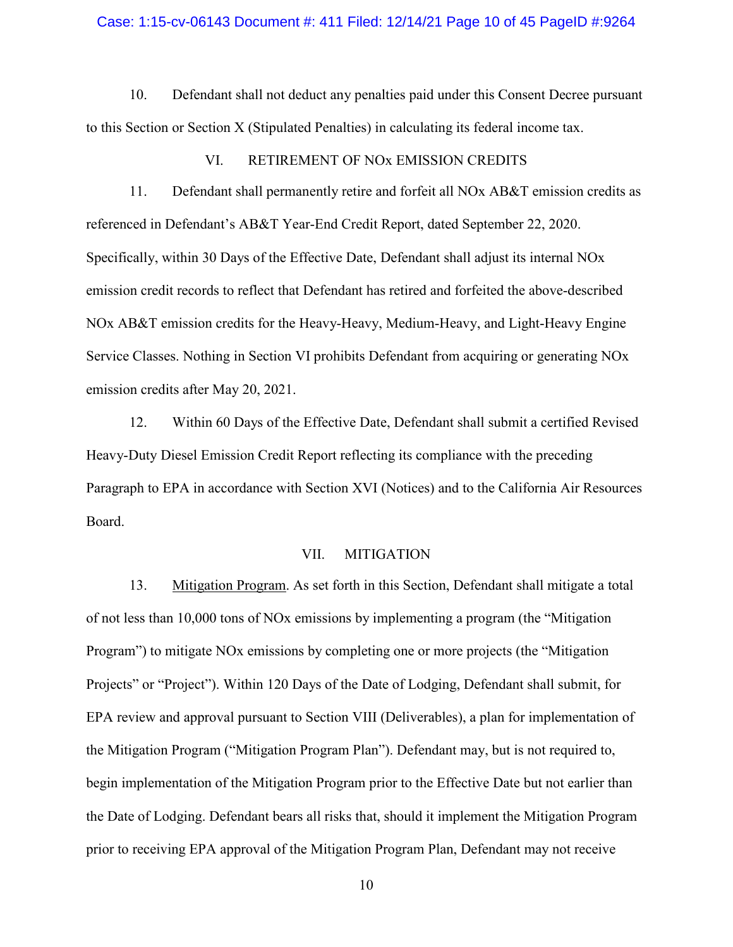#### Case: 1:15-cv-06143 Document #: 411 Filed: 12/14/21 Page 10 of 45 PageID #:9264

10. Defendant shall not deduct any penalties paid under this Consent Decree pursuant to this Section or Section [X](#page-19-0) (Stipulated Penalties) in calculating its federal income tax.

## VI. RETIREMENT OF NOx EMISSION CREDITS

<span id="page-9-2"></span>11. Defendant shall permanently retire and forfeit all NOx AB&T emission credits as referenced in Defendant's AB&T Year-End Credit Report, dated September 22, 2020. Specifically, within 30 Days of the Effective Date, Defendant shall adjust its internal NOx emission credit records to reflect that Defendant has retired and forfeited the above-described NOx AB&T emission credits for the Heavy-Heavy, Medium-Heavy, and Light-Heavy Engine Service Classes. Nothing in Section VI prohibits Defendant from acquiring or generating NOx emission credits after May 20, 2021.

12. Within 60 Days of the Effective Date, Defendant shall submit a certified Revised Heavy-Duty Diesel Emission Credit Report reflecting its compliance with the preceding Paragraph to EPA in accordance with Section [XVI](#page-30-0) (Notices) and to the California Air Resources Board.

## VII. MITIGATION

<span id="page-9-1"></span><span id="page-9-0"></span>13. Mitigation Program. As set forth in this Section, Defendant shall mitigate a total of not less than 10,000 tons of NOx emissions by implementing a program (the "Mitigation Program") to mitigate NOx emissions by completing one or more projects (the "Mitigation Projects" or "Project"). Within 120 Days of the Date of Lodging, Defendant shall submit, for EPA review and approval pursuant to Section [VIII](#page-15-0) (Deliverables), a plan for implementation of the Mitigation Program ("Mitigation Program Plan"). Defendant may, but is not required to, begin implementation of the Mitigation Program prior to the Effective Date but not earlier than the Date of Lodging. Defendant bears all risks that, should it implement the Mitigation Program prior to receiving EPA approval of the Mitigation Program Plan, Defendant may not receive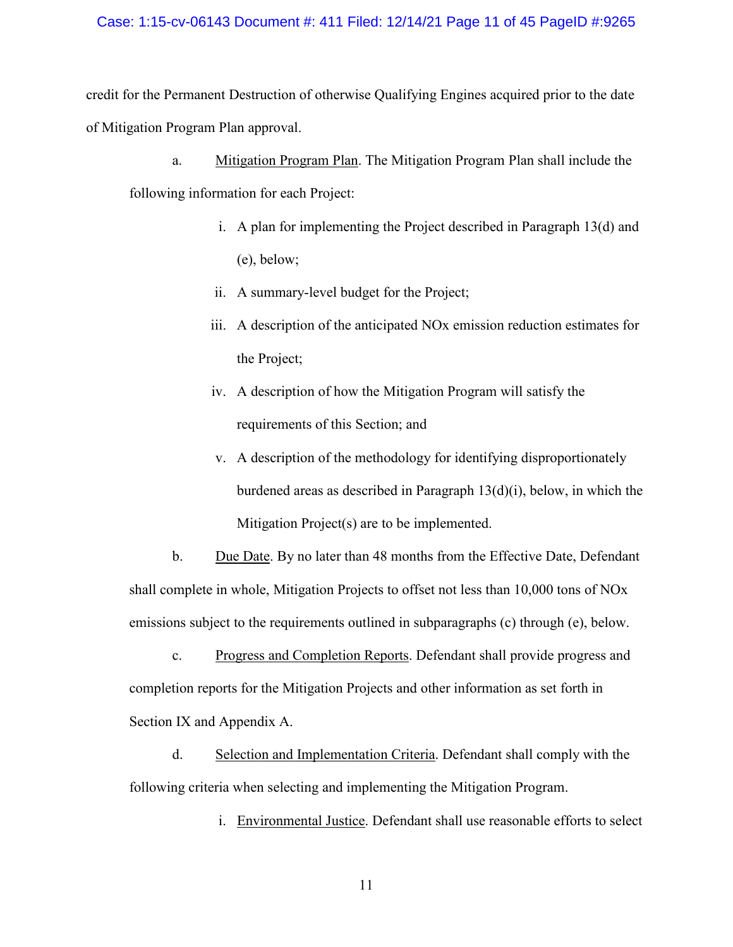## Case: 1:15-cv-06143 Document #: 411 Filed: 12/14/21 Page 11 of 45 PageID #:9265

credit for the Permanent Destruction of otherwise Qualifying Engines acquired prior to the date of Mitigation Program Plan approval.

- a. Mitigation Program Plan. The Mitigation Program Plan shall include the following information for each Project:
	- i. A plan for implementing the Project described in Paragraph 13(d) and (e), below;
	- ii. A summary-level budget for the Project;
	- iii. A description of the anticipated NOx emission reduction estimates for the Project;
	- iv. A description of how the Mitigation Program will satisfy the requirements of this Section; and
	- v. A description of the methodology for identifying disproportionately burdened areas as described in Paragraph 13(d)(i), below, in which the Mitigation Project(s) are to be implemented.

b. Due Date. By no later than 48 months from the Effective Date, Defendant shall complete in whole, Mitigation Projects to offset not less than 10,000 tons of NOx emissions subject to the requirements outlined in subparagraphs (c) through (e), below.

c. Progress and Completion Reports. Defendant shall provide progress and completion reports for the Mitigation Projects and other information as set forth in Section [IX](#page-16-0) and Appendix A.

d. Selection and Implementation Criteria. Defendant shall comply with the following criteria when selecting and implementing the Mitigation Program.

i. Environmental Justice. Defendant shall use reasonable efforts to select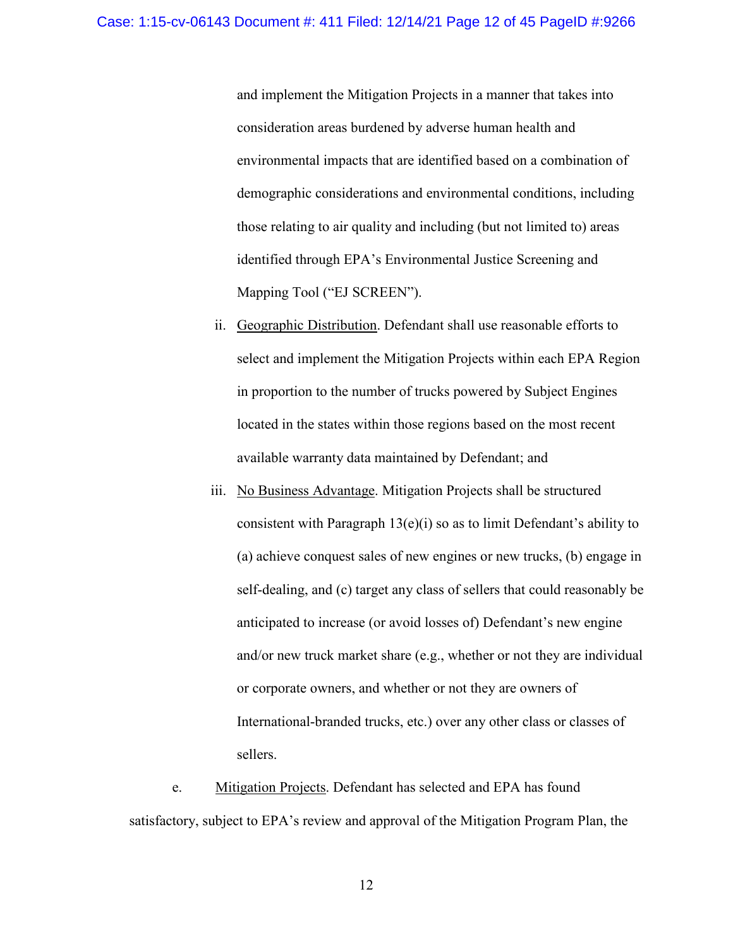and implement the Mitigation Projects in a manner that takes into consideration areas burdened by adverse human health and environmental impacts that are identified based on a combination of demographic considerations and environmental conditions, including those relating to air quality and including (but not limited to) areas identified through EPA's Environmental Justice Screening and Mapping Tool ("EJ SCREEN").

- ii. Geographic Distribution. Defendant shall use reasonable efforts to select and implement the Mitigation Projects within each EPA Region in proportion to the number of trucks powered by Subject Engines located in the states within those regions based on the most recent available warranty data maintained by Defendant; and
- iii. No Business Advantage. Mitigation Projects shall be structured consistent with Paragraph  $13(e)(i)$  so as to limit Defendant's ability to (a) achieve conquest sales of new engines or new trucks, (b) engage in self-dealing, and (c) target any class of sellers that could reasonably be anticipated to increase (or avoid losses of) Defendant's new engine and/or new truck market share (e.g., whether or not they are individual or corporate owners, and whether or not they are owners of International-branded trucks, etc.) over any other class or classes of sellers.

e. Mitigation Projects. Defendant has selected and EPA has found satisfactory, subject to EPA's review and approval of the Mitigation Program Plan, the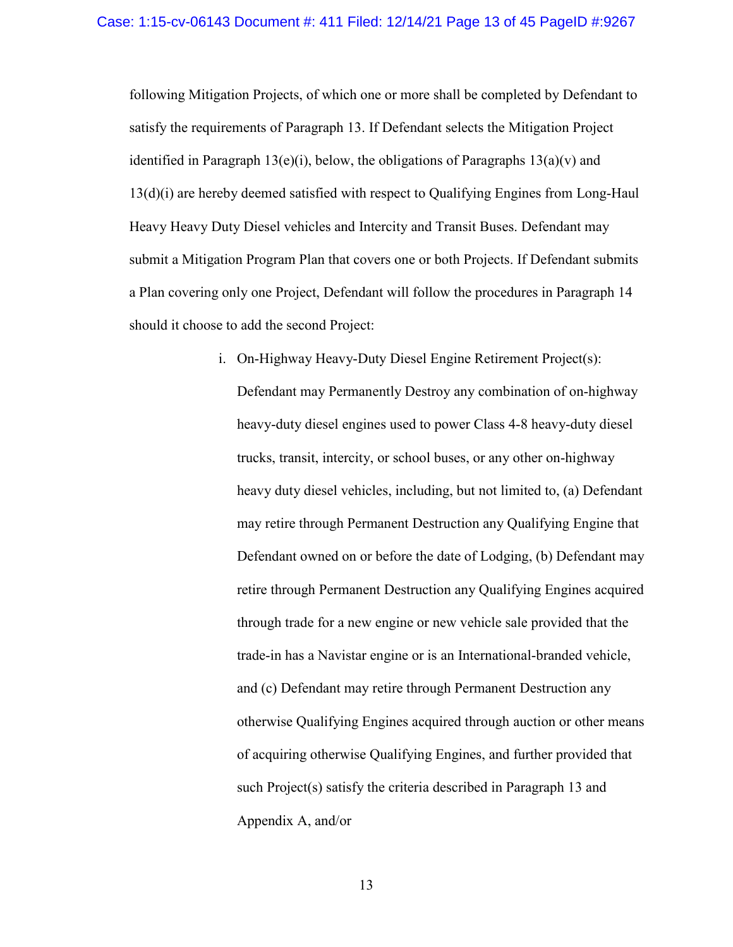following Mitigation Projects, of which one or more shall be completed by Defendant to satisfy the requirements of Paragraph [13.](#page-9-1) If Defendant selects the Mitigation Project identified in Paragraph  $13(e)(i)$ , below, the obligations of Paragraphs  $13(a)(v)$  and 13(d)(i) are hereby deemed satisfied with respect to Qualifying Engines from Long-Haul Heavy Heavy Duty Diesel vehicles and Intercity and Transit Buses. Defendant may submit a Mitigation Program Plan that covers one or both Projects. If Defendant submits a Plan covering only one Project, Defendant will follow the procedures in Paragraph 14 should it choose to add the second Project:

> i. On-Highway Heavy-Duty Diesel Engine Retirement Project(s): Defendant may Permanently Destroy any combination of on-highway heavy-duty diesel engines used to power Class 4-8 heavy-duty diesel trucks, transit, intercity, or school buses, or any other on-highway heavy duty diesel vehicles, including, but not limited to, (a) Defendant may retire through Permanent Destruction any Qualifying Engine that Defendant owned on or before the date of Lodging, (b) Defendant may retire through Permanent Destruction any Qualifying Engines acquired through trade for a new engine or new vehicle sale provided that the trade-in has a Navistar engine or is an International-branded vehicle, and (c) Defendant may retire through Permanent Destruction any otherwise Qualifying Engines acquired through auction or other means of acquiring otherwise Qualifying Engines, and further provided that such Project(s) satisfy the criteria described in Paragraph 13 and Appendix A, and/or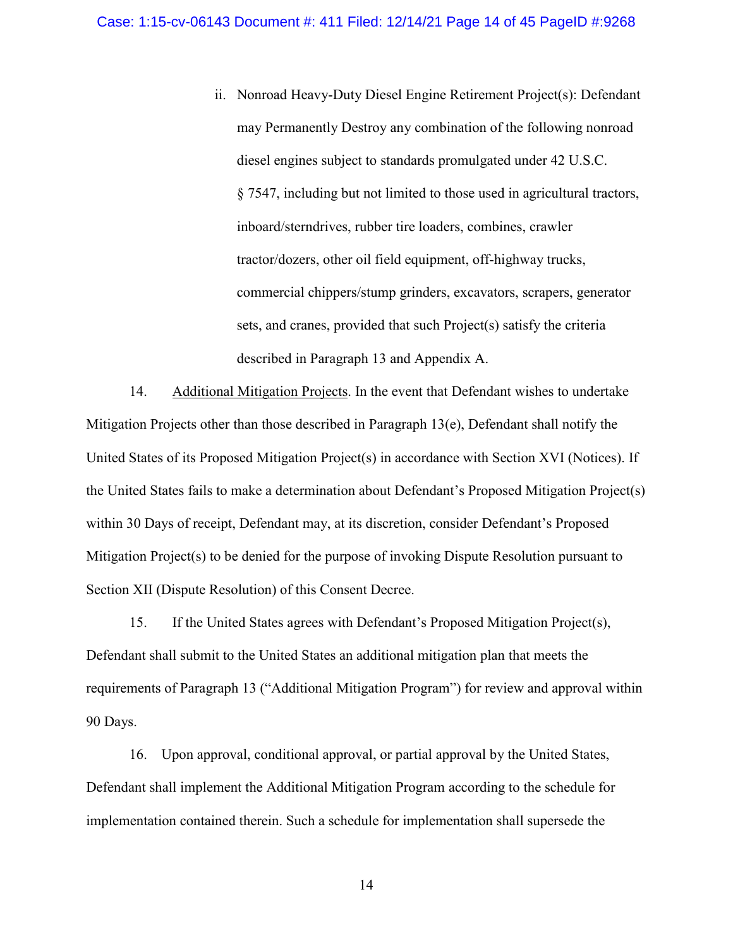ii. Nonroad Heavy-Duty Diesel Engine Retirement Project(s): Defendant may Permanently Destroy any combination of the following nonroad diesel engines subject to standards promulgated under 42 U.S.C. § 7547, including but not limited to those used in agricultural tractors, inboard/sterndrives, rubber tire loaders, combines, crawler tractor/dozers, other oil field equipment, off-highway trucks, commercial chippers/stump grinders, excavators, scrapers, generator sets, and cranes, provided that such Project(s) satisfy the criteria described in Paragraph [13](#page-9-1) and Appendix A.

14. Additional Mitigation Projects. In the event that Defendant wishes to undertake Mitigation Projects other than those described in Paragraph 13(e), Defendant shall notify the United States of its Proposed Mitigation Project(s) in accordance with Section [XVI](#page-30-0) (Notices). If the United States fails to make a determination about Defendant's Proposed Mitigation Project(s) within 30 Days of receipt, Defendant may, at its discretion, consider Defendant's Proposed Mitigation Project(s) to be denied for the purpose of invoking Dispute Resolution pursuant to Section [XII](#page-24-0) (Dispute Resolution) of this Consent Decree.

15. If the United States agrees with Defendant's Proposed Mitigation Project(s), Defendant shall submit to the United States an additional mitigation plan that meets the requirements of Paragraph 13 ("Additional Mitigation Program") for review and approval within 90 Days.

16. Upon approval, conditional approval, or partial approval by the United States, Defendant shall implement the Additional Mitigation Program according to the schedule for implementation contained therein. Such a schedule for implementation shall supersede the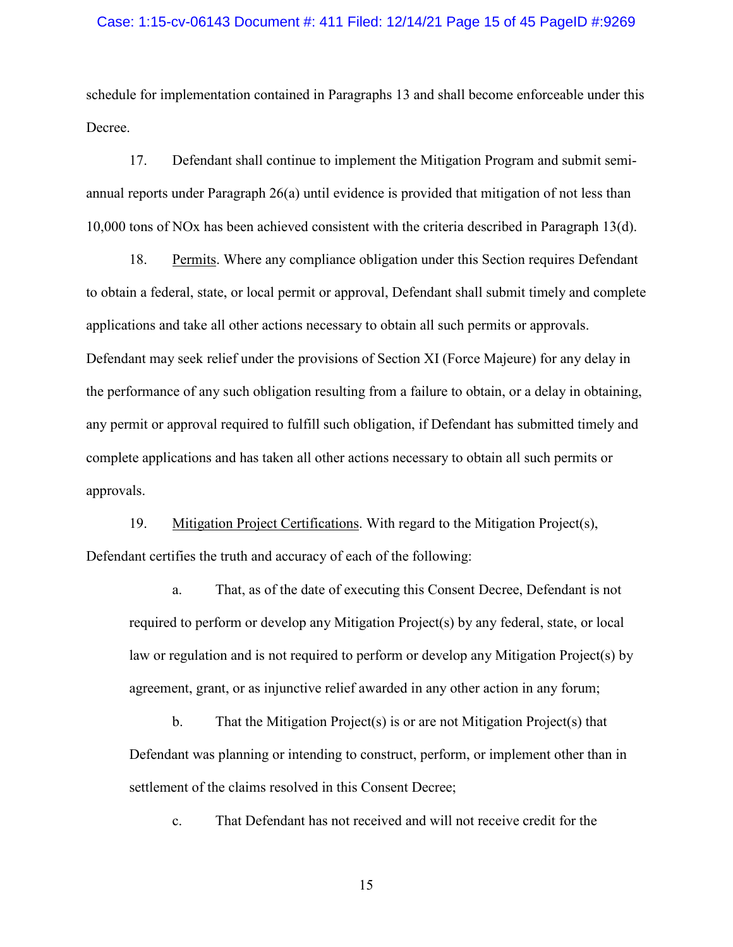#### Case: 1:15-cv-06143 Document #: 411 Filed: 12/14/21 Page 15 of 45 PageID #:9269

schedule for implementation contained in Paragraphs 13 and shall become enforceable under this Decree.

17. Defendant shall continue to implement the Mitigation Program and submit semiannual reports under Paragraph 26(a) until evidence is provided that mitigation of not less than 10,000 tons of NOx has been achieved consistent with the criteria described in Paragraph 13(d).

18. Permits. Where any compliance obligation under this Section requires Defendant to obtain a federal, state, or local permit or approval, Defendant shall submit timely and complete applications and take all other actions necessary to obtain all such permits or approvals. Defendant may seek relief under the provisions of Section [XI](#page-22-0) (Force Majeure) for any delay in the performance of any such obligation resulting from a failure to obtain, or a delay in obtaining, any permit or approval required to fulfill such obligation, if Defendant has submitted timely and complete applications and has taken all other actions necessary to obtain all such permits or approvals.

19. Mitigation Project Certifications. With regard to the Mitigation Project(s), Defendant certifies the truth and accuracy of each of the following:

a. That, as of the date of executing this Consent Decree, Defendant is not required to perform or develop any Mitigation Project(s) by any federal, state, or local law or regulation and is not required to perform or develop any Mitigation Project(s) by agreement, grant, or as injunctive relief awarded in any other action in any forum;

b. That the Mitigation Project(s) is or are not Mitigation Project(s) that Defendant was planning or intending to construct, perform, or implement other than in settlement of the claims resolved in this Consent Decree;

c. That Defendant has not received and will not receive credit for the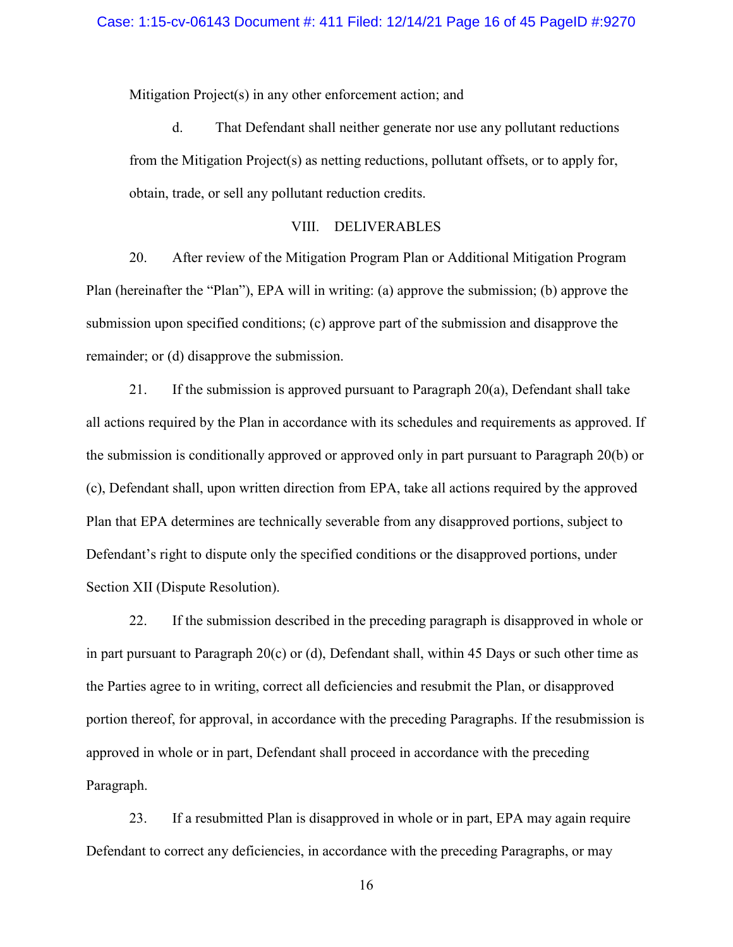Mitigation Project(s) in any other enforcement action; and

d. That Defendant shall neither generate nor use any pollutant reductions from the Mitigation Project(s) as netting reductions, pollutant offsets, or to apply for, obtain, trade, or sell any pollutant reduction credits.

## VIII. DELIVERABLES

<span id="page-15-1"></span><span id="page-15-0"></span>20. After review of the Mitigation Program Plan or Additional Mitigation Program Plan (hereinafter the "Plan"), EPA will in writing: (a) approve the submission; (b) approve the submission upon specified conditions; (c) approve part of the submission and disapprove the remainder; or (d) disapprove the submission.

<span id="page-15-2"></span>21. If the submission is approved pursuant to Paragraph  $20(a)$ , Defendant shall take all actions required by the Plan in accordance with its schedules and requirements as approved. If the submission is conditionally approved or approved only in part pursuant to Paragraph [20\(](#page-15-1)b) or (c), Defendant shall, upon written direction from EPA, take all actions required by the approved Plan that EPA determines are technically severable from any disapproved portions, subject to Defendant's right to dispute only the specified conditions or the disapproved portions, under Section [XII](#page-24-0) (Dispute Resolution).

22. If the submission described in the preceding paragraph is disapproved in whole or in part pursuant to Paragraph  $20(c)$  or (d), Defendant shall, within 45 Days or such other time as the Parties agree to in writing, correct all deficiencies and resubmit the Plan, or disapproved portion thereof, for approval, in accordance with the preceding Paragraphs. If the resubmission is approved in whole or in part, Defendant shall proceed in accordance with the preceding Paragraph.

<span id="page-15-3"></span>23. If a resubmitted Plan is disapproved in whole or in part, EPA may again require Defendant to correct any deficiencies, in accordance with the preceding Paragraphs, or may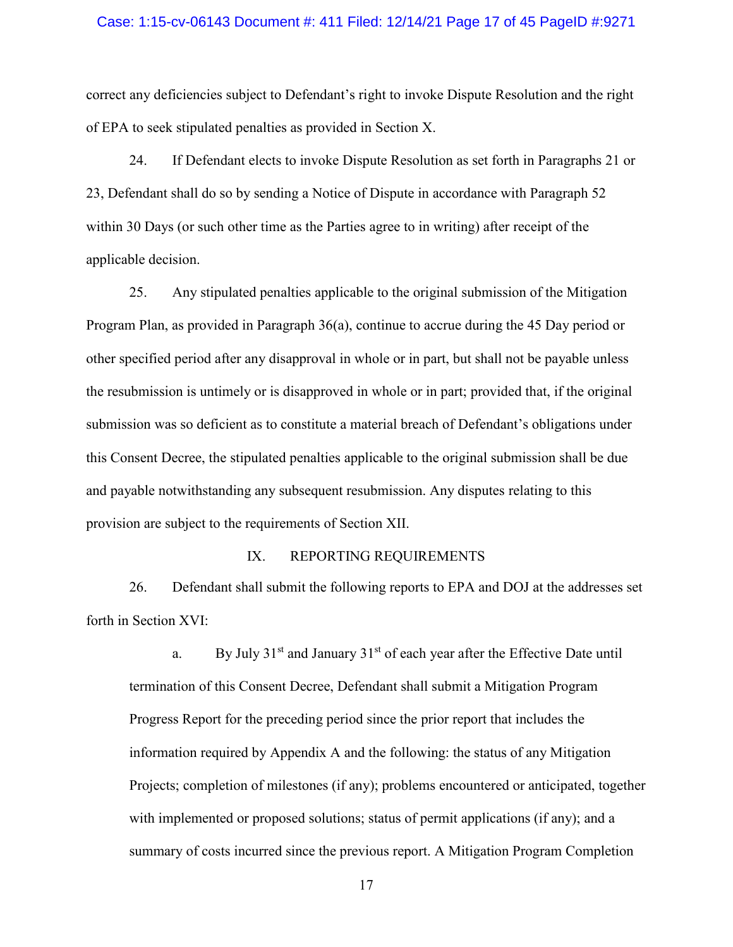#### Case: 1:15-cv-06143 Document #: 411 Filed: 12/14/21 Page 17 of 45 PageID #:9271

correct any deficiencies subject to Defendant's right to invoke Dispute Resolution and the right of EPA to seek stipulated penalties as provided in Section [X.](#page-19-0)

24. If Defendant elects to invoke Dispute Resolution as set forth in Paragraphs [21](#page-15-2) or [23,](#page-15-3) Defendant shall do so by sending a Notice of Dispute in accordance with Paragraph [52](#page-25-0) within 30 Days (or such other time as the Parties agree to in writing) after receipt of the applicable decision.

25. Any stipulated penalties applicable to the original submission of the Mitigation Program Plan, as provided in Paragraph 36(a), continue to accrue during the 45 Day period or other specified period after any disapproval in whole or in part, but shall not be payable unless the resubmission is untimely or is disapproved in whole or in part; provided that, if the original submission was so deficient as to constitute a material breach of Defendant's obligations under this Consent Decree, the stipulated penalties applicable to the original submission shall be due and payable notwithstanding any subsequent resubmission. Any disputes relating to this provision are subject to the requirements of Section [XII.](#page-24-0)

#### IX. REPORTING REQUIREMENTS

<span id="page-16-0"></span>26. Defendant shall submit the following reports to EPA and DOJ at the addresses set forth in Section [XVI:](#page-30-0)

a. By July  $31<sup>st</sup>$  and January  $31<sup>st</sup>$  of each year after the Effective Date until termination of this Consent Decree, Defendant shall submit a Mitigation Program Progress Report for the preceding period since the prior report that includes the information required by Appendix A and the following: the status of any Mitigation Projects; completion of milestones (if any); problems encountered or anticipated, together with implemented or proposed solutions; status of permit applications (if any); and a summary of costs incurred since the previous report. A Mitigation Program Completion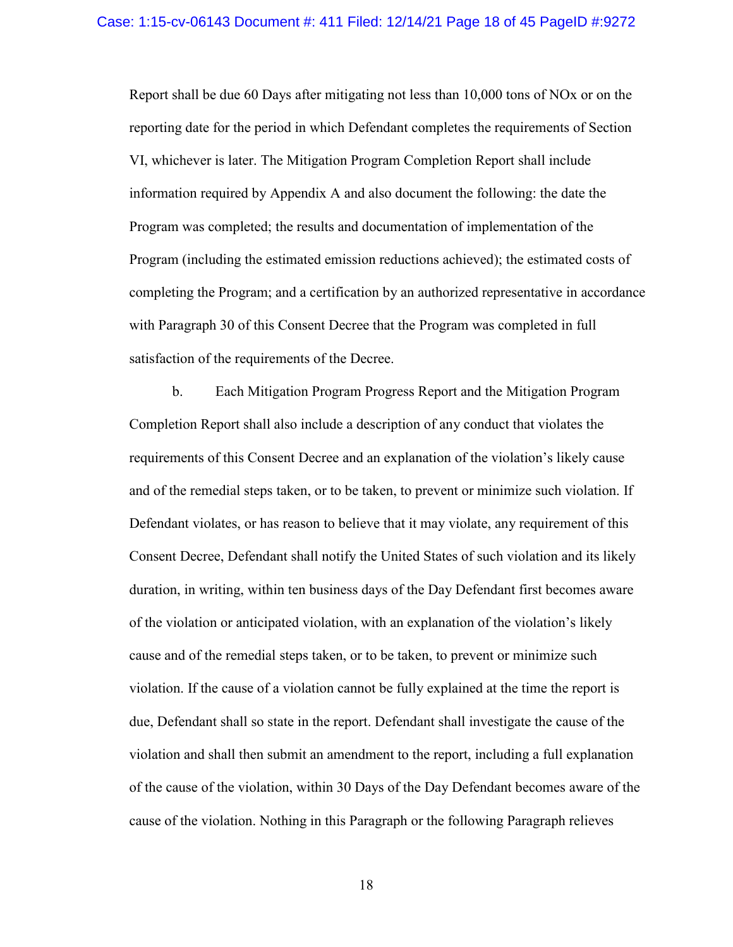Report shall be due 60 Days after mitigating not less than 10,000 tons of NOx or on the reporting date for the period in which Defendant completes the requirements of Section [VI,](#page-9-2) whichever is later. The Mitigation Program Completion Report shall include information required by Appendix A and also document the following: the date the Program was completed; the results and documentation of implementation of the Program (including the estimated emission reductions achieved); the estimated costs of completing the Program; and a certification by an authorized representative in accordance with Paragraph [30](#page-18-0) of this Consent Decree that the Program was completed in full satisfaction of the requirements of the Decree.

b. Each Mitigation Program Progress Report and the Mitigation Program Completion Report shall also include a description of any conduct that violates the requirements of this Consent Decree and an explanation of the violation's likely cause and of the remedial steps taken, or to be taken, to prevent or minimize such violation. If Defendant violates, or has reason to believe that it may violate, any requirement of this Consent Decree, Defendant shall notify the United States of such violation and its likely duration, in writing, within ten business days of the Day Defendant first becomes aware of the violation or anticipated violation, with an explanation of the violation's likely cause and of the remedial steps taken, or to be taken, to prevent or minimize such violation. If the cause of a violation cannot be fully explained at the time the report is due, Defendant shall so state in the report. Defendant shall investigate the cause of the violation and shall then submit an amendment to the report, including a full explanation of the cause of the violation, within 30 Days of the Day Defendant becomes aware of the cause of the violation. Nothing in this Paragraph or the following Paragraph relieves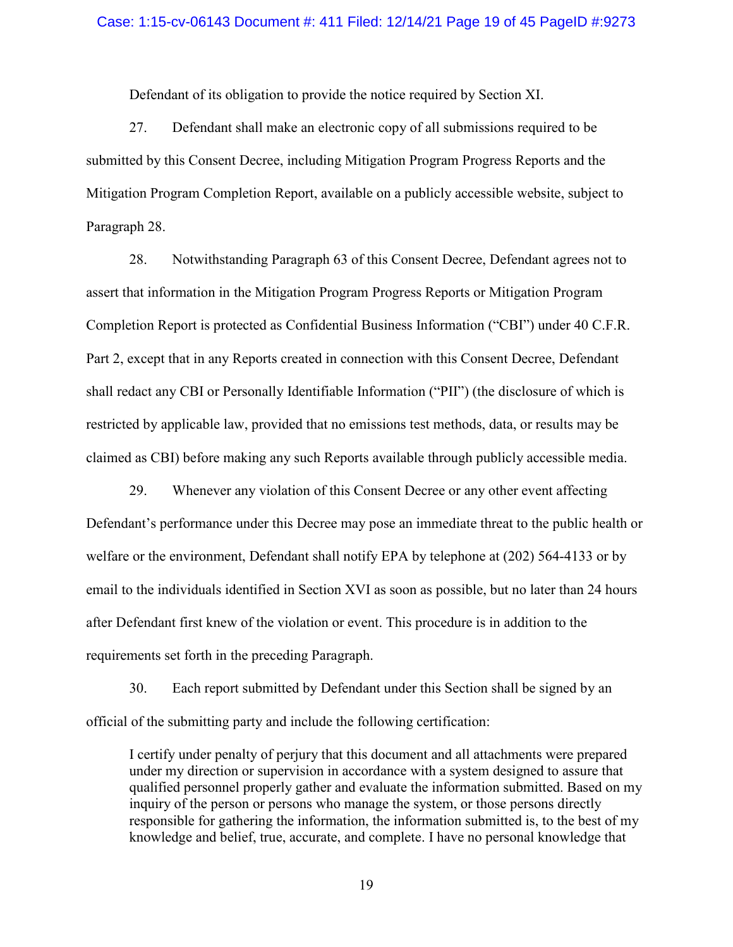Defendant of its obligation to provide the notice required by Section [XI.](#page-22-0)

27. Defendant shall make an electronic copy of all submissions required to be submitted by this Consent Decree, including Mitigation Program Progress Reports and the Mitigation Program Completion Report, available on a publicly accessible website, subject to Paragraph 28.

28. Notwithstanding Paragraph 63 of this Consent Decree, Defendant agrees not to assert that information in the Mitigation Program Progress Reports or Mitigation Program Completion Report is protected as Confidential Business Information ("CBI") under 40 C.F.R. Part 2, except that in any Reports created in connection with this Consent Decree, Defendant shall redact any CBI or Personally Identifiable Information ("PII") (the disclosure of which is restricted by applicable law, provided that no emissions test methods, data, or results may be claimed as CBI) before making any such Reports available through publicly accessible media.

29. Whenever any violation of this Consent Decree or any other event affecting Defendant's performance under this Decree may pose an immediate threat to the public health or welfare or the environment, Defendant shall notify EPA by telephone at (202) 564-4133 or by email to the individuals identified in Section [XVI](#page-30-0) as soon as possible, but no later than 24 hours after Defendant first knew of the violation or event. This procedure is in addition to the requirements set forth in the preceding Paragraph.

<span id="page-18-0"></span>30. Each report submitted by Defendant under this Section shall be signed by an official of the submitting party and include the following certification:

I certify under penalty of perjury that this document and all attachments were prepared under my direction or supervision in accordance with a system designed to assure that qualified personnel properly gather and evaluate the information submitted. Based on my inquiry of the person or persons who manage the system, or those persons directly responsible for gathering the information, the information submitted is, to the best of my knowledge and belief, true, accurate, and complete. I have no personal knowledge that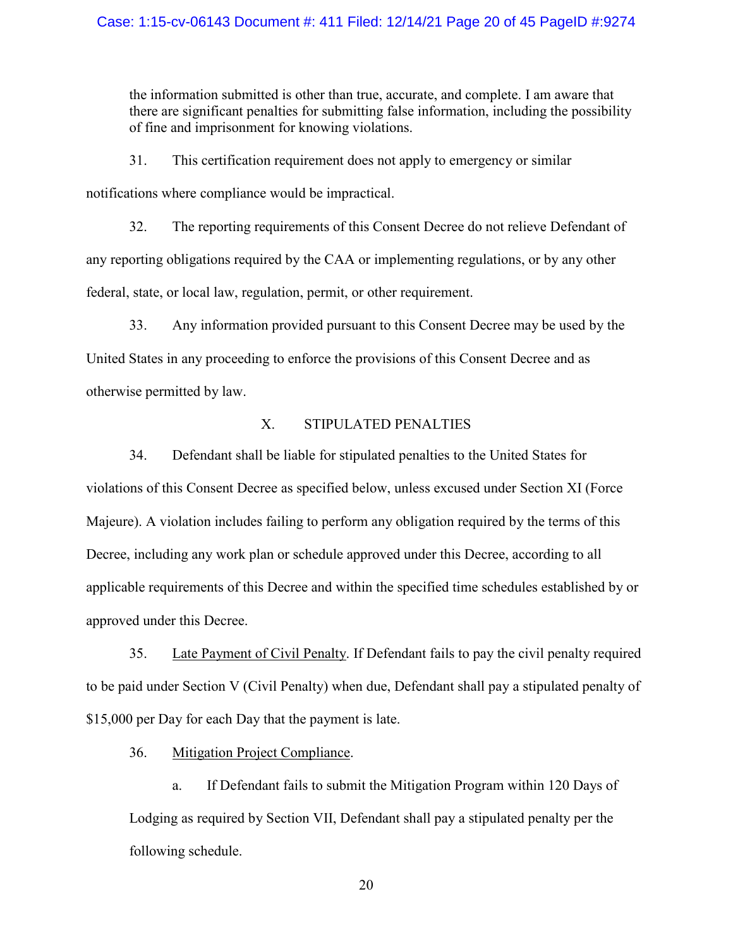## Case: 1:15-cv-06143 Document #: 411 Filed: 12/14/21 Page 20 of 45 PageID #:9274

the information submitted is other than true, accurate, and complete. I am aware that there are significant penalties for submitting false information, including the possibility of fine and imprisonment for knowing violations.

31. This certification requirement does not apply to emergency or similar notifications where compliance would be impractical.

32. The reporting requirements of this Consent Decree do not relieve Defendant of any reporting obligations required by the CAA or implementing regulations, or by any other federal, state, or local law, regulation, permit, or other requirement.

33. Any information provided pursuant to this Consent Decree may be used by the United States in any proceeding to enforce the provisions of this Consent Decree and as otherwise permitted by law.

## X. STIPULATED PENALTIES

<span id="page-19-0"></span>34. Defendant shall be liable for stipulated penalties to the United States for violations of this Consent Decree as specified below, unless excused under Section [XI](#page-22-0) (Force Majeure). A violation includes failing to perform any obligation required by the terms of this Decree, including any work plan or schedule approved under this Decree, according to all applicable requirements of this Decree and within the specified time schedules established by or approved under this Decree.

35. Late Payment of Civil Penalty. If Defendant fails to pay the civil penalty required to be paid under Section [V](#page-8-0) (Civil Penalty) when due, Defendant shall pay a stipulated penalty of \$15,000 per Day for each Day that the payment is late.

36. Mitigation Project Compliance.

a. If Defendant fails to submit the Mitigation Program within 120 Days of Lodging as required by Section [VII,](#page-9-0) Defendant shall pay a stipulated penalty per the following schedule.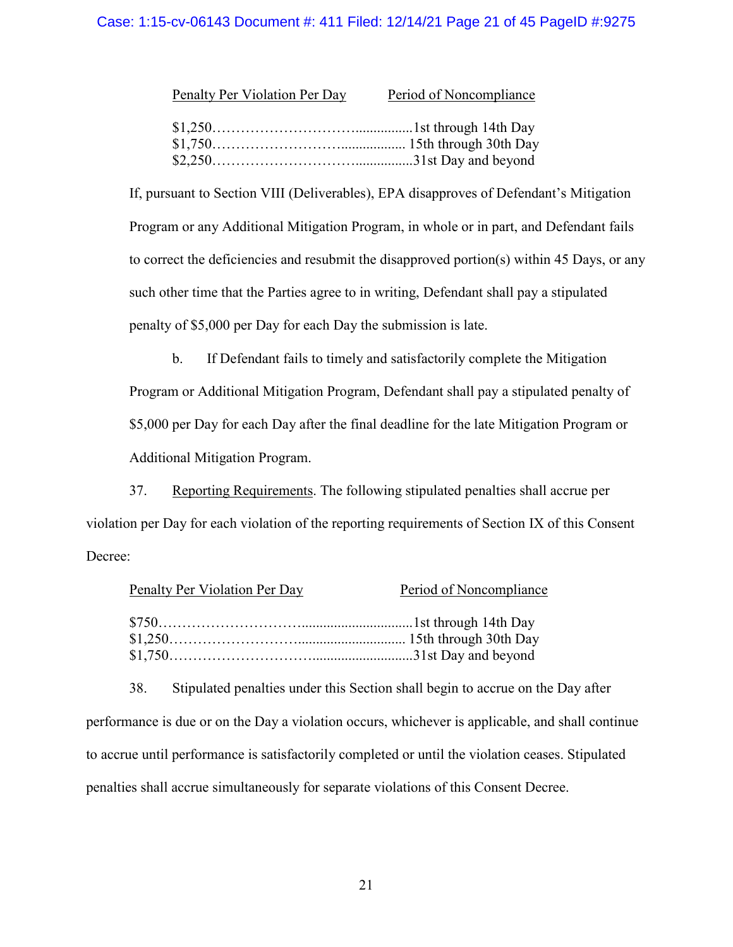## Case: 1:15-cv-06143 Document #: 411 Filed: 12/14/21 Page 21 of 45 PageID #:9275

| Penalty Per Violation Per Day | Period of Noncompliance |
|-------------------------------|-------------------------|
|                               |                         |
|                               |                         |
|                               |                         |

If, pursuant to Section [VIII](#page-15-0) (Deliverables), EPA disapproves of Defendant's Mitigation Program or any Additional Mitigation Program, in whole or in part, and Defendant fails to correct the deficiencies and resubmit the disapproved portion(s) within 45 Days, or any such other time that the Parties agree to in writing, Defendant shall pay a stipulated penalty of \$5,000 per Day for each Day the submission is late.

b. If Defendant fails to timely and satisfactorily complete the Mitigation Program or Additional Mitigation Program, Defendant shall pay a stipulated penalty of \$5,000 per Day for each Day after the final deadline for the late Mitigation Program or Additional Mitigation Program.

37. Reporting Requirements. The following stipulated penalties shall accrue per violation per Day for each violation of the reporting requirements of Section [IX](#page-16-0) of this Consent Decree:

| Penalty Per Violation Per Day | Period of Noncompliance |
|-------------------------------|-------------------------|
|                               |                         |
|                               |                         |
|                               |                         |

38. Stipulated penalties under this Section shall begin to accrue on the Day after

<span id="page-20-0"></span>performance is due or on the Day a violation occurs, whichever is applicable, and shall continue to accrue until performance is satisfactorily completed or until the violation ceases. Stipulated penalties shall accrue simultaneously for separate violations of this Consent Decree.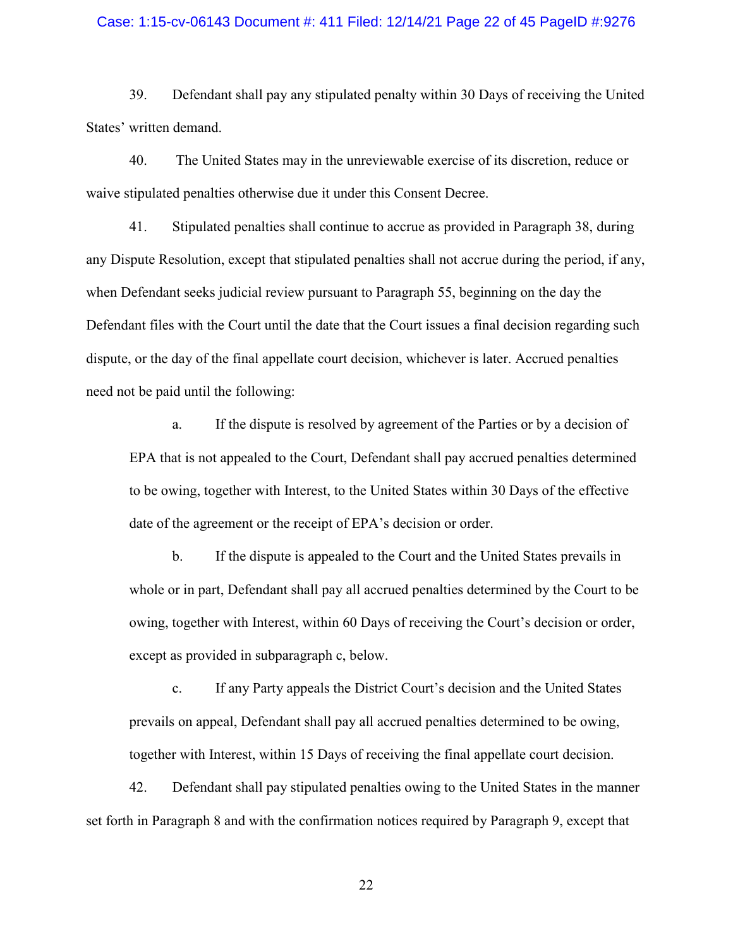#### Case: 1:15-cv-06143 Document #: 411 Filed: 12/14/21 Page 22 of 45 PageID #:9276

39. Defendant shall pay any stipulated penalty within 30 Days of receiving the United States' written demand.

40. The United States may in the unreviewable exercise of its discretion, reduce or waive stipulated penalties otherwise due it under this Consent Decree.

<span id="page-21-0"></span>41. Stipulated penalties shall continue to accrue as provided in Paragraph [38,](#page-20-0) during any Dispute Resolution, except that stipulated penalties shall not accrue during the period, if any, when Defendant seeks judicial review pursuant to Paragraph [55,](#page-25-1) beginning on the day the Defendant files with the Court until the date that the Court issues a final decision regarding such dispute, or the day of the final appellate court decision, whichever is later. Accrued penalties need not be paid until the following:

a. If the dispute is resolved by agreement of the Parties or by a decision of EPA that is not appealed to the Court, Defendant shall pay accrued penalties determined to be owing, together with Interest, to the United States within 30 Days of the effective date of the agreement or the receipt of EPA's decision or order.

b. If the dispute is appealed to the Court and the United States prevails in whole or in part, Defendant shall pay all accrued penalties determined by the Court to be owing, together with Interest, within 60 Days of receiving the Court's decision or order, except as provided in subparagraph c, below.

c. If any Party appeals the District Court's decision and the United States prevails on appeal, Defendant shall pay all accrued penalties determined to be owing, together with Interest, within 15 Days of receiving the final appellate court decision.

42. Defendant shall pay stipulated penalties owing to the United States in the manner set forth in Paragraph [8](#page-8-1) and with the confirmation notices required by Paragraph [9,](#page-8-2) except that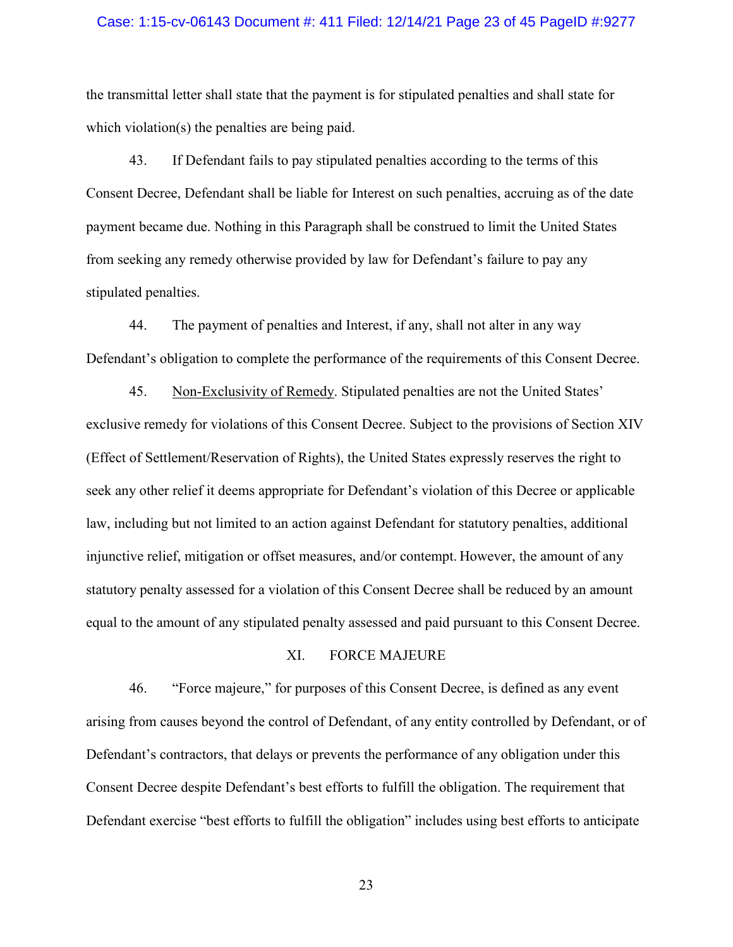#### Case: 1:15-cv-06143 Document #: 411 Filed: 12/14/21 Page 23 of 45 PageID #:9277

the transmittal letter shall state that the payment is for stipulated penalties and shall state for which violation(s) the penalties are being paid.

43. If Defendant fails to pay stipulated penalties according to the terms of this Consent Decree, Defendant shall be liable for Interest on such penalties, accruing as of the date payment became due. Nothing in this Paragraph shall be construed to limit the United States from seeking any remedy otherwise provided by law for Defendant's failure to pay any stipulated penalties.

44. The payment of penalties and Interest, if any, shall not alter in any way Defendant's obligation to complete the performance of the requirements of this Consent Decree.

45. Non-Exclusivity of Remedy. Stipulated penalties are not the United States' exclusive remedy for violations of this Consent Decree. Subject to the provisions of Section [XIV](#page-29-0) (Effect of Settlement/Reservation of Rights), the United States expressly reserves the right to seek any other relief it deems appropriate for Defendant's violation of this Decree or applicable law, including but not limited to an action against Defendant for statutory penalties, additional injunctive relief, mitigation or offset measures, and/or contempt. However, the amount of any statutory penalty assessed for a violation of this Consent Decree shall be reduced by an amount equal to the amount of any stipulated penalty assessed and paid pursuant to this Consent Decree.

## XI. FORCE MAJEURE

<span id="page-22-1"></span><span id="page-22-0"></span>46. "Force majeure," for purposes of this Consent Decree, is defined as any event arising from causes beyond the control of Defendant, of any entity controlled by Defendant, or of Defendant's contractors, that delays or prevents the performance of any obligation under this Consent Decree despite Defendant's best efforts to fulfill the obligation. The requirement that Defendant exercise "best efforts to fulfill the obligation" includes using best efforts to anticipate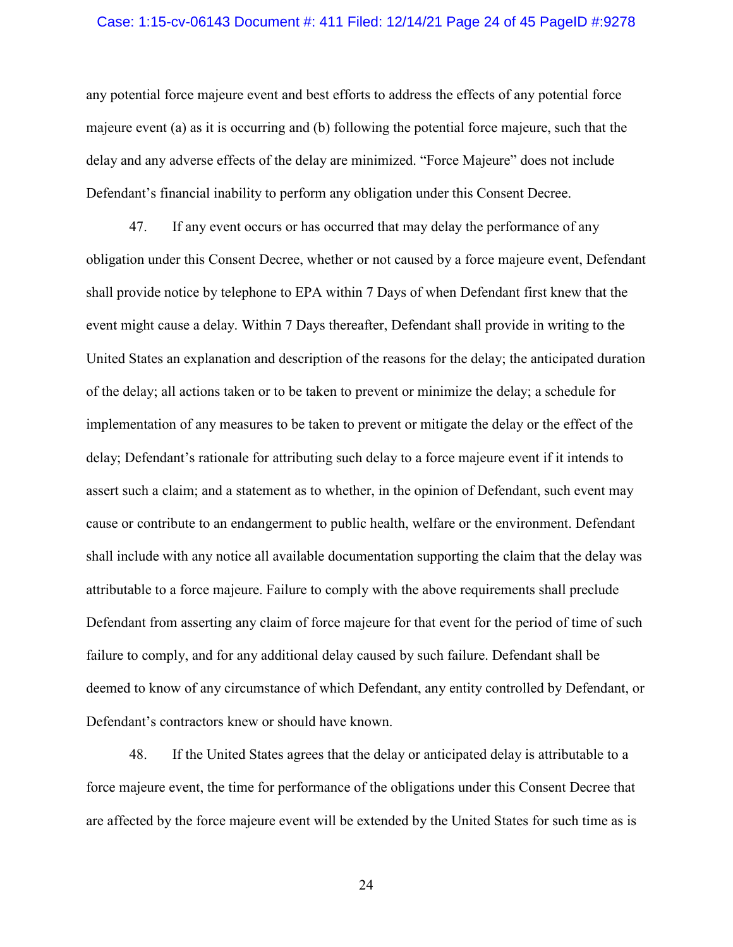#### Case: 1:15-cv-06143 Document #: 411 Filed: 12/14/21 Page 24 of 45 PageID #:9278

any potential force majeure event and best efforts to address the effects of any potential force majeure event (a) as it is occurring and (b) following the potential force majeure, such that the delay and any adverse effects of the delay are minimized. "Force Majeure" does not include Defendant's financial inability to perform any obligation under this Consent Decree.

<span id="page-23-0"></span>47. If any event occurs or has occurred that may delay the performance of any obligation under this Consent Decree, whether or not caused by a force majeure event, Defendant shall provide notice by telephone to EPA within 7 Days of when Defendant first knew that the event might cause a delay. Within 7 Days thereafter, Defendant shall provide in writing to the United States an explanation and description of the reasons for the delay; the anticipated duration of the delay; all actions taken or to be taken to prevent or minimize the delay; a schedule for implementation of any measures to be taken to prevent or mitigate the delay or the effect of the delay; Defendant's rationale for attributing such delay to a force majeure event if it intends to assert such a claim; and a statement as to whether, in the opinion of Defendant, such event may cause or contribute to an endangerment to public health, welfare or the environment. Defendant shall include with any notice all available documentation supporting the claim that the delay was attributable to a force majeure. Failure to comply with the above requirements shall preclude Defendant from asserting any claim of force majeure for that event for the period of time of such failure to comply, and for any additional delay caused by such failure. Defendant shall be deemed to know of any circumstance of which Defendant, any entity controlled by Defendant, or Defendant's contractors knew or should have known.

48. If the United States agrees that the delay or anticipated delay is attributable to a force majeure event, the time for performance of the obligations under this Consent Decree that are affected by the force majeure event will be extended by the United States for such time as is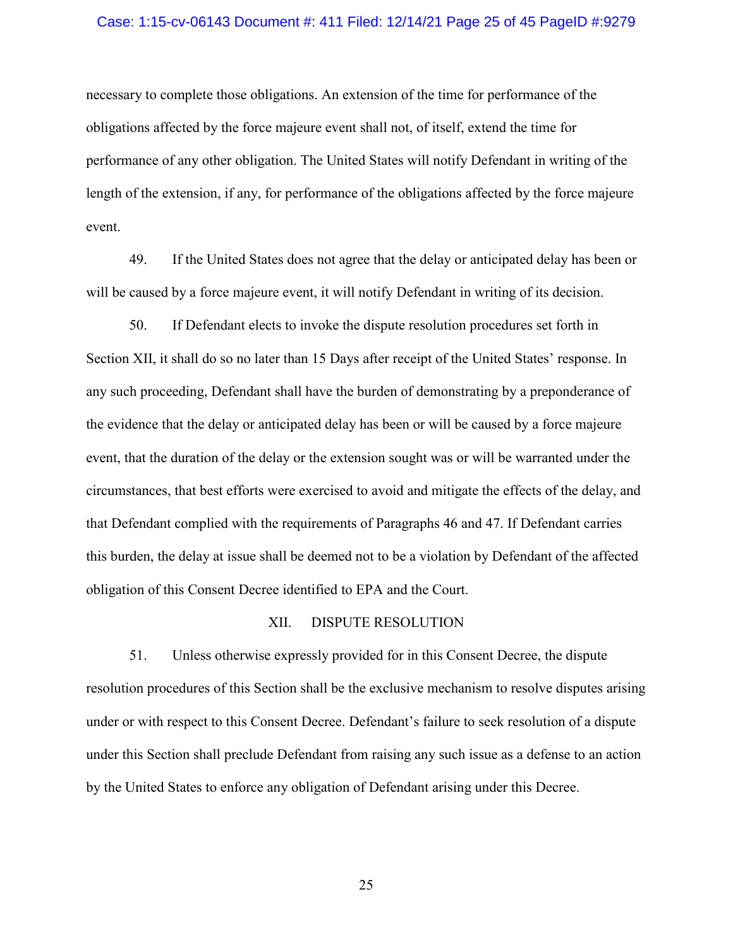#### Case: 1:15-cv-06143 Document #: 411 Filed: 12/14/21 Page 25 of 45 PageID #:9279

necessary to complete those obligations. An extension of the time for performance of the obligations affected by the force majeure event shall not, of itself, extend the time for performance of any other obligation. The United States will notify Defendant in writing of the length of the extension, if any, for performance of the obligations affected by the force majeure event.

49. If the United States does not agree that the delay or anticipated delay has been or will be caused by a force majeure event, it will notify Defendant in writing of its decision.

50. If Defendant elects to invoke the dispute resolution procedures set forth in Section [XII,](#page-24-0) it shall do so no later than 15 Days after receipt of the United States' response. In any such proceeding, Defendant shall have the burden of demonstrating by a preponderance of the evidence that the delay or anticipated delay has been or will be caused by a force majeure event, that the duration of the delay or the extension sought was or will be warranted under the circumstances, that best efforts were exercised to avoid and mitigate the effects of the delay, and that Defendant complied with the requirements of Paragraphs [46](#page-22-1) and [47.](#page-23-0) If Defendant carries this burden, the delay at issue shall be deemed not to be a violation by Defendant of the affected obligation of this Consent Decree identified to EPA and the Court.

#### XII. DISPUTE RESOLUTION

<span id="page-24-0"></span>51. Unless otherwise expressly provided for in this Consent Decree, the dispute resolution procedures of this Section shall be the exclusive mechanism to resolve disputes arising under or with respect to this Consent Decree. Defendant's failure to seek resolution of a dispute under this Section shall preclude Defendant from raising any such issue as a defense to an action by the United States to enforce any obligation of Defendant arising under this Decree.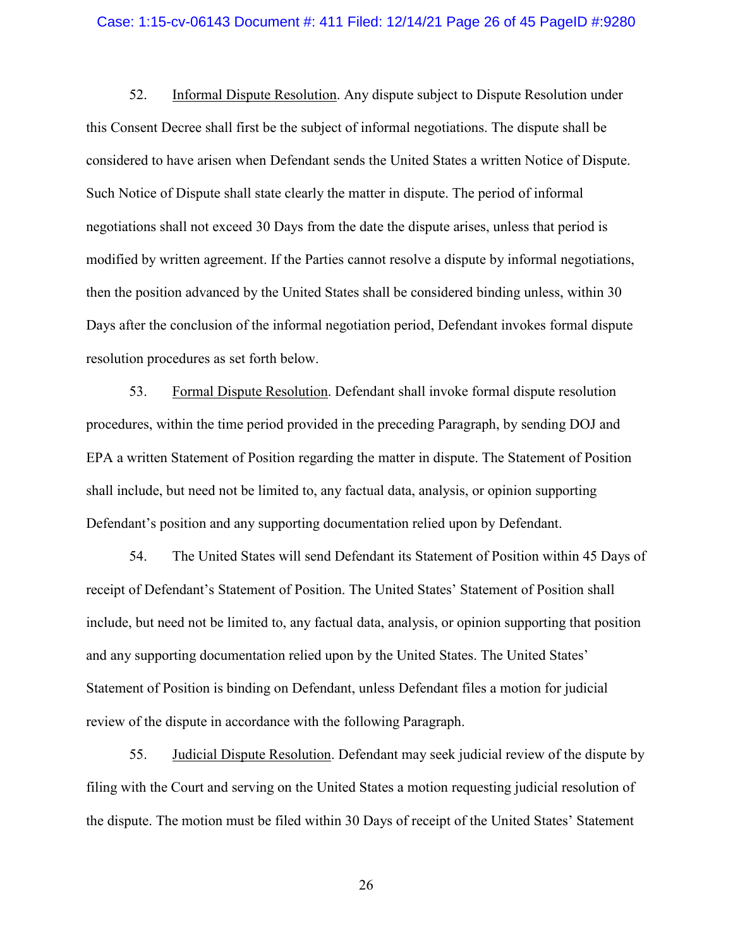#### Case: 1:15-cv-06143 Document #: 411 Filed: 12/14/21 Page 26 of 45 PageID #:9280

<span id="page-25-0"></span>52. Informal Dispute Resolution. Any dispute subject to Dispute Resolution under this Consent Decree shall first be the subject of informal negotiations. The dispute shall be considered to have arisen when Defendant sends the United States a written Notice of Dispute. Such Notice of Dispute shall state clearly the matter in dispute. The period of informal negotiations shall not exceed 30 Days from the date the dispute arises, unless that period is modified by written agreement. If the Parties cannot resolve a dispute by informal negotiations, then the position advanced by the United States shall be considered binding unless, within 30 Days after the conclusion of the informal negotiation period, Defendant invokes formal dispute resolution procedures as set forth below.

<span id="page-25-2"></span>53. Formal Dispute Resolution. Defendant shall invoke formal dispute resolution procedures, within the time period provided in the preceding Paragraph, by sending DOJ and EPA a written Statement of Position regarding the matter in dispute. The Statement of Position shall include, but need not be limited to, any factual data, analysis, or opinion supporting Defendant's position and any supporting documentation relied upon by Defendant.

54. The United States will send Defendant its Statement of Position within 45 Days of receipt of Defendant's Statement of Position. The United States' Statement of Position shall include, but need not be limited to, any factual data, analysis, or opinion supporting that position and any supporting documentation relied upon by the United States. The United States' Statement of Position is binding on Defendant, unless Defendant files a motion for judicial review of the dispute in accordance with the following Paragraph.

<span id="page-25-1"></span>55. Judicial Dispute Resolution. Defendant may seek judicial review of the dispute by filing with the Court and serving on the United States a motion requesting judicial resolution of the dispute. The motion must be filed within 30 Days of receipt of the United States' Statement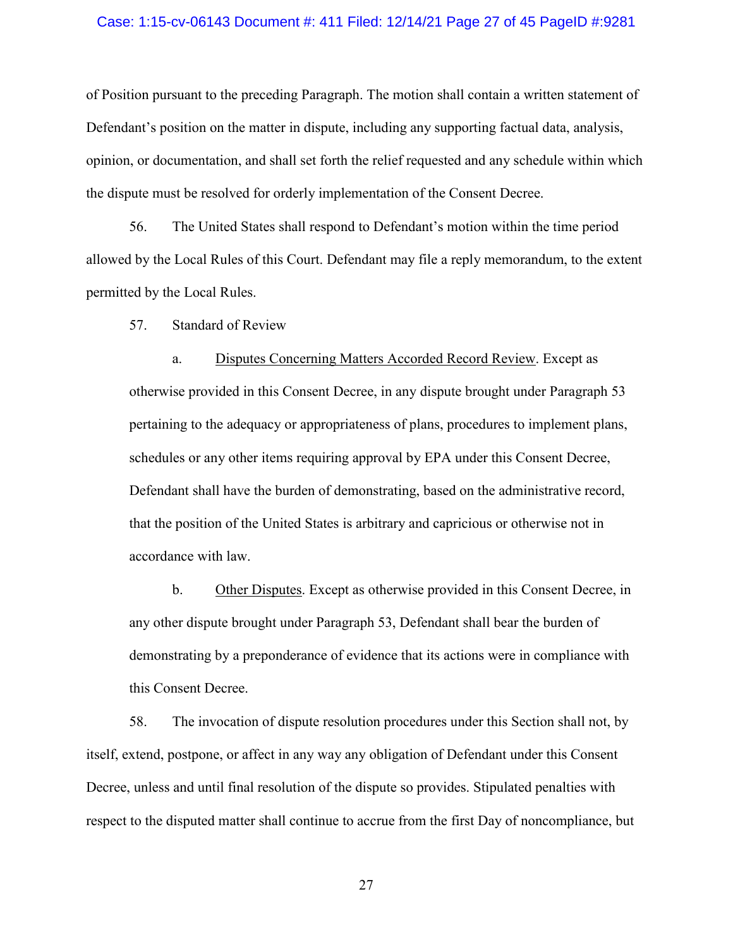#### Case: 1:15-cv-06143 Document #: 411 Filed: 12/14/21 Page 27 of 45 PageID #:9281

of Position pursuant to the preceding Paragraph. The motion shall contain a written statement of Defendant's position on the matter in dispute, including any supporting factual data, analysis, opinion, or documentation, and shall set forth the relief requested and any schedule within which the dispute must be resolved for orderly implementation of the Consent Decree.

56. The United States shall respond to Defendant's motion within the time period allowed by the Local Rules of this Court. Defendant may file a reply memorandum, to the extent permitted by the Local Rules.

<span id="page-26-0"></span>57. Standard of Review

a. Disputes Concerning Matters Accorded Record Review. Except as otherwise provided in this Consent Decree, in any dispute brought under Paragraph [53](#page-25-2) pertaining to the adequacy or appropriateness of plans, procedures to implement plans, schedules or any other items requiring approval by EPA under this Consent Decree, Defendant shall have the burden of demonstrating, based on the administrative record, that the position of the United States is arbitrary and capricious or otherwise not in accordance with law.

b. Other Disputes. Except as otherwise provided in this Consent Decree, in any other dispute brought under Paragraph [53,](#page-25-2) Defendant shall bear the burden of demonstrating by a preponderance of evidence that its actions were in compliance with this Consent Decree.

58. The invocation of dispute resolution procedures under this Section shall not, by itself, extend, postpone, or affect in any way any obligation of Defendant under this Consent Decree, unless and until final resolution of the dispute so provides. Stipulated penalties with respect to the disputed matter shall continue to accrue from the first Day of noncompliance, but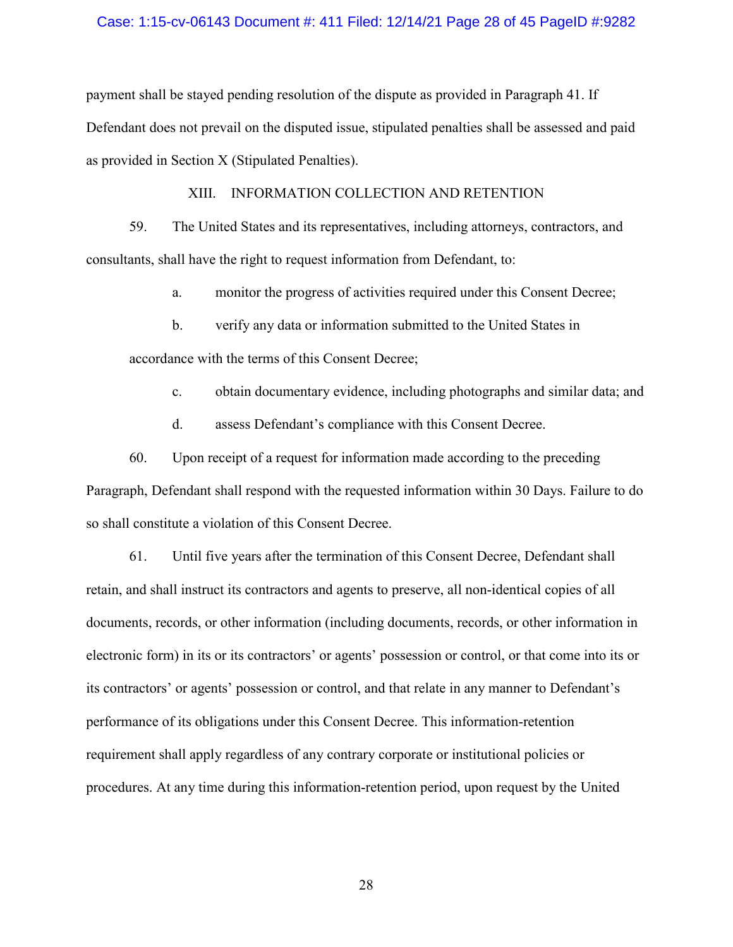#### Case: 1:15-cv-06143 Document #: 411 Filed: 12/14/21 Page 28 of 45 PageID #:9282

payment shall be stayed pending resolution of the dispute as provided in Paragraph [41.](#page-21-0) If Defendant does not prevail on the disputed issue, stipulated penalties shall be assessed and paid as provided in Section [X](#page-19-0) (Stipulated Penalties).

#### XIII. INFORMATION COLLECTION AND RETENTION

59. The United States and its representatives, including attorneys, contractors, and consultants, shall have the right to request information from Defendant, to:

a. monitor the progress of activities required under this Consent Decree;

b. verify any data or information submitted to the United States in

accordance with the terms of this Consent Decree;

- c. obtain documentary evidence, including photographs and similar data; and
- d. assess Defendant's compliance with this Consent Decree.

60. Upon receipt of a request for information made according to the preceding Paragraph, Defendant shall respond with the requested information within 30 Days. Failure to do so shall constitute a violation of this Consent Decree.

61. Until five years after the termination of this Consent Decree, Defendant shall retain, and shall instruct its contractors and agents to preserve, all non-identical copies of all documents, records, or other information (including documents, records, or other information in electronic form) in its or its contractors' or agents' possession or control, or that come into its or its contractors' or agents' possession or control, and that relate in any manner to Defendant's performance of its obligations under this Consent Decree. This information-retention requirement shall apply regardless of any contrary corporate or institutional policies or procedures. At any time during this information-retention period, upon request by the United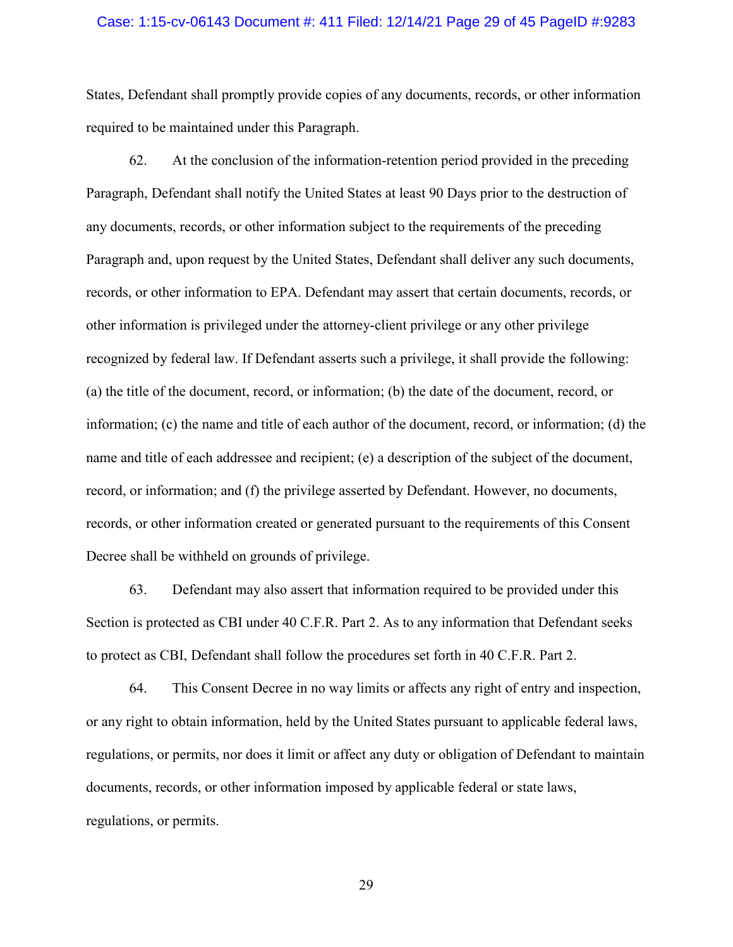#### Case: 1:15-cv-06143 Document #: 411 Filed: 12/14/21 Page 29 of 45 PageID #:9283

States, Defendant shall promptly provide copies of any documents, records, or other information required to be maintained under this Paragraph.

62. At the conclusion of the information-retention period provided in the preceding Paragraph, Defendant shall notify the United States at least 90 Days prior to the destruction of any documents, records, or other information subject to the requirements of the preceding Paragraph and, upon request by the United States, Defendant shall deliver any such documents, records, or other information to EPA. Defendant may assert that certain documents, records, or other information is privileged under the attorney-client privilege or any other privilege recognized by federal law. If Defendant asserts such a privilege, it shall provide the following: (a) the title of the document, record, or information; (b) the date of the document, record, or information; (c) the name and title of each author of the document, record, or information; (d) the name and title of each addressee and recipient; (e) a description of the subject of the document, record, or information; and (f) the privilege asserted by Defendant. However, no documents, records, or other information created or generated pursuant to the requirements of this Consent Decree shall be withheld on grounds of privilege.

63. Defendant may also assert that information required to be provided under this Section is protected as CBI under 40 C.F.R. Part 2. As to any information that Defendant seeks to protect as CBI, Defendant shall follow the procedures set forth in 40 C.F.R. Part 2.

64. This Consent Decree in no way limits or affects any right of entry and inspection, or any right to obtain information, held by the United States pursuant to applicable federal laws, regulations, or permits, nor does it limit or affect any duty or obligation of Defendant to maintain documents, records, or other information imposed by applicable federal or state laws, regulations, or permits.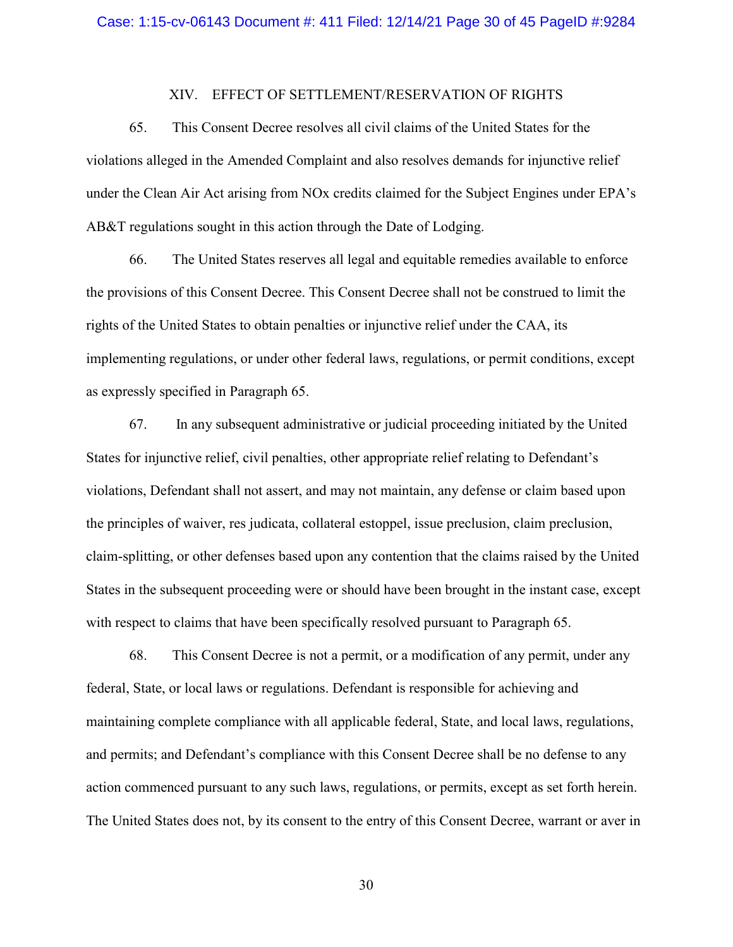#### XIV. EFFECT OF SETTLEMENT/RESERVATION OF RIGHTS

<span id="page-29-1"></span><span id="page-29-0"></span>65. This Consent Decree resolves all civil claims of the United States for the violations alleged in the Amended Complaint and also resolves demands for injunctive relief under the Clean Air Act arising from NOx credits claimed for the Subject Engines under EPA's AB&T regulations sought in this action through the Date of Lodging.

66. The United States reserves all legal and equitable remedies available to enforce the provisions of this Consent Decree. This Consent Decree shall not be construed to limit the rights of the United States to obtain penalties or injunctive relief under the CAA, its implementing regulations, or under other federal laws, regulations, or permit conditions, except as expressly specified in Paragraph [65.](#page-29-1)

67. In any subsequent administrative or judicial proceeding initiated by the United States for injunctive relief, civil penalties, other appropriate relief relating to Defendant's violations, Defendant shall not assert, and may not maintain, any defense or claim based upon the principles of waiver, res judicata, collateral estoppel, issue preclusion, claim preclusion, claim-splitting, or other defenses based upon any contention that the claims raised by the United States in the subsequent proceeding were or should have been brought in the instant case, except with respect to claims that have been specifically resolved pursuant to Paragraph [65.](#page-29-1)

68. This Consent Decree is not a permit, or a modification of any permit, under any federal, State, or local laws or regulations. Defendant is responsible for achieving and maintaining complete compliance with all applicable federal, State, and local laws, regulations, and permits; and Defendant's compliance with this Consent Decree shall be no defense to any action commenced pursuant to any such laws, regulations, or permits, except as set forth herein. The United States does not, by its consent to the entry of this Consent Decree, warrant or aver in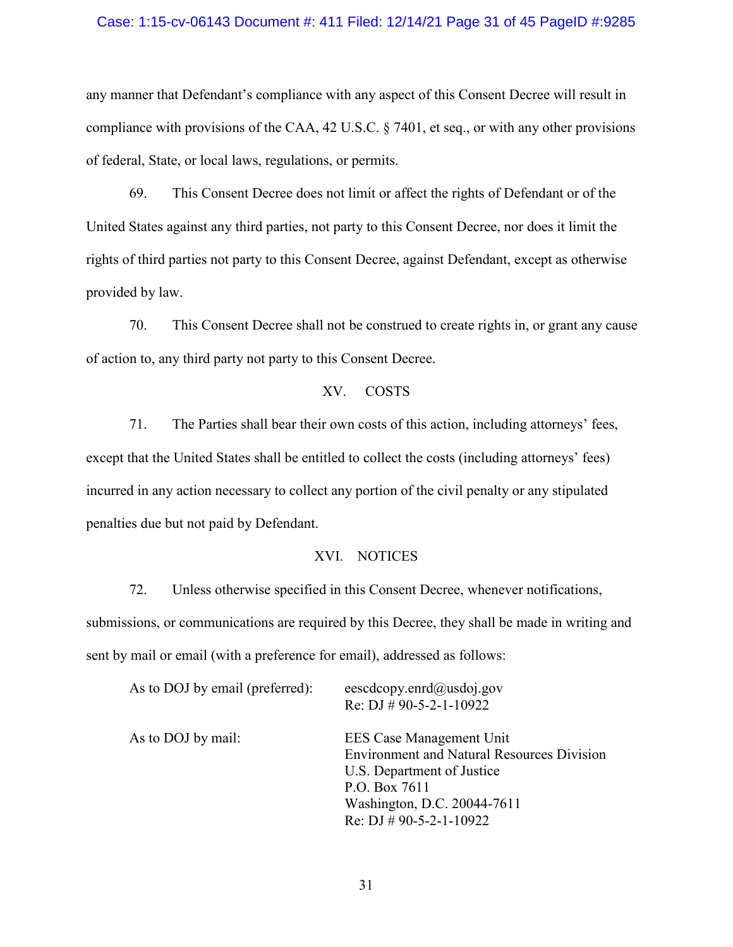#### Case: 1:15-cv-06143 Document #: 411 Filed: 12/14/21 Page 31 of 45 PageID #:9285

any manner that Defendant's compliance with any aspect of this Consent Decree will result in compliance with provisions of the CAA, 42 U.S.C. § 7401, et seq., or with any other provisions of federal, State, or local laws, regulations, or permits.

69. This Consent Decree does not limit or affect the rights of Defendant or of the United States against any third parties, not party to this Consent Decree, nor does it limit the rights of third parties not party to this Consent Decree, against Defendant, except as otherwise provided by law.

70. This Consent Decree shall not be construed to create rights in, or grant any cause of action to, any third party not party to this Consent Decree.

## XV. COSTS

71. The Parties shall bear their own costs of this action, including attorneys' fees, except that the United States shall be entitled to collect the costs (including attorneys' fees) incurred in any action necessary to collect any portion of the civil penalty or any stipulated penalties due but not paid by Defendant.

#### XVI. NOTICES

<span id="page-30-0"></span>72. Unless otherwise specified in this Consent Decree, whenever notifications, submissions, or communications are required by this Decree, they shall be made in writing and sent by mail or email (with a preference for email), addressed as follows:

| As to DOJ by email (preferred): | eescdcopy.enrd@usdoj.gov                          |
|---------------------------------|---------------------------------------------------|
|                                 | Re: DJ # 90-5-2-1-10922                           |
| As to DOJ by mail:              | EES Case Management Unit                          |
|                                 | <b>Environment and Natural Resources Division</b> |
|                                 | U.S. Department of Justice                        |
|                                 | P.O. Box 7611                                     |
|                                 | Washington, D.C. 20044-7611                       |
|                                 | Re: DJ $\#$ 90-5-2-1-10922                        |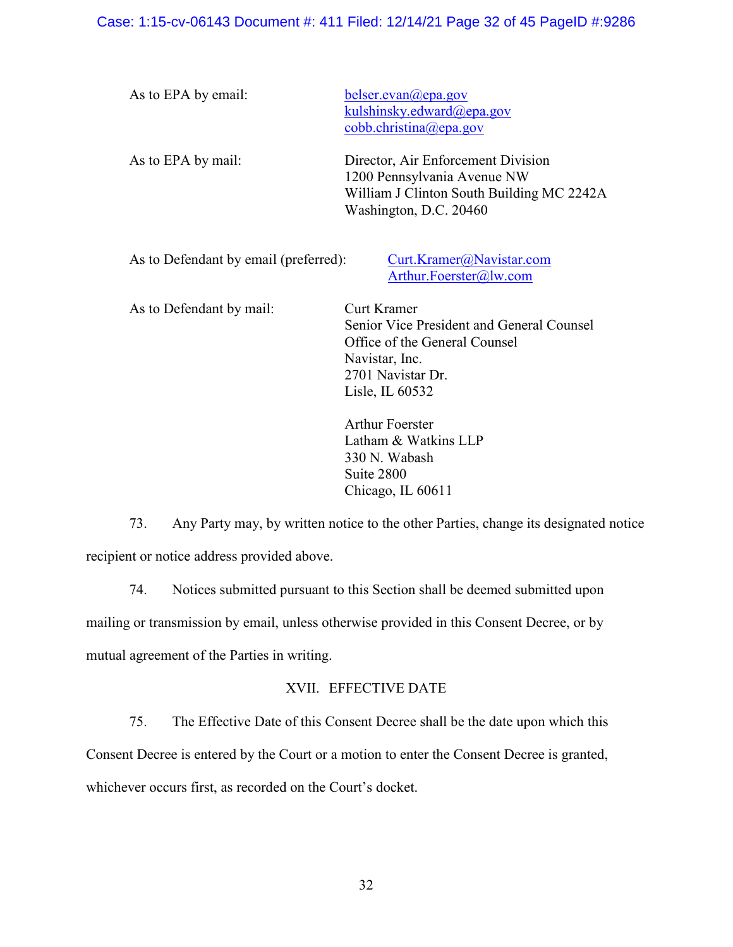## Case: 1:15-cv-06143 Document #: 411 Filed: 12/14/21 Page 32 of 45 PageID #:9286

| As to EPA by email:                   | belser.evan@epa.gov<br>kulshinsky.edward@epa.gov<br>cobb.christina@epa.gov                                                               |  |  |  |  |  |
|---------------------------------------|------------------------------------------------------------------------------------------------------------------------------------------|--|--|--|--|--|
| As to EPA by mail:                    | Director, Air Enforcement Division<br>1200 Pennsylvania Avenue NW<br>William J Clinton South Building MC 2242A<br>Washington, D.C. 20460 |  |  |  |  |  |
| As to Defendant by email (preferred): | Curt.Kramer@Navistar.com<br>Arthur.Foerster@lw.com                                                                                       |  |  |  |  |  |

As to Defendant by mail: Curt Kramer Senior Vice President and General Counsel Office of the General Counsel Navistar, Inc. 2701 Navistar Dr. Lisle, IL 60532

> Arthur Foerster Latham & Watkins LLP 330 N. Wabash Suite 2800 Chicago, IL 60611

73. Any Party may, by written notice to the other Parties, change its designated notice recipient or notice address provided above.

74. Notices submitted pursuant to this Section shall be deemed submitted upon mailing or transmission by email, unless otherwise provided in this Consent Decree, or by mutual agreement of the Parties in writing.

## XVII. EFFECTIVE DATE

<span id="page-31-0"></span>75. The Effective Date of this Consent Decree shall be the date upon which this

Consent Decree is entered by the Court or a motion to enter the Consent Decree is granted,

whichever occurs first, as recorded on the Court's docket.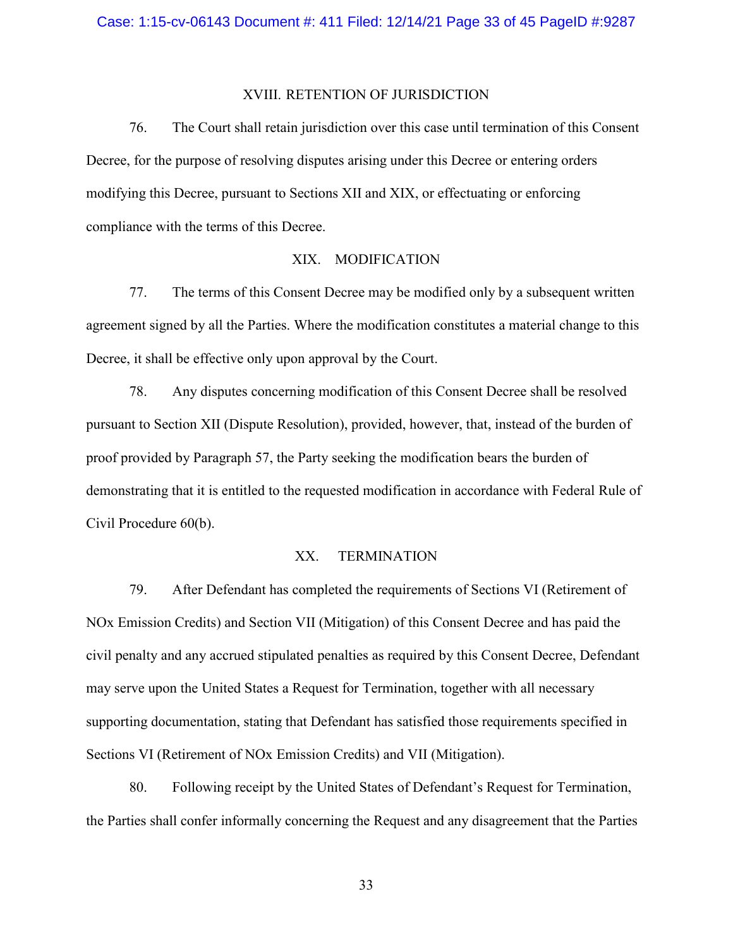#### XVIII. RETENTION OF JURISDICTION

76. The Court shall retain jurisdiction over this case until termination of this Consent Decree, for the purpose of resolving disputes arising under this Decree or entering orders modifying this Decree, pursuant to Sections [XII](#page-24-0) and [XIX,](#page-32-0) or effectuating or enforcing compliance with the terms of this Decree.

## XIX. MODIFICATION

<span id="page-32-0"></span>77. The terms of this Consent Decree may be modified only by a subsequent written agreement signed by all the Parties. Where the modification constitutes a material change to this Decree, it shall be effective only upon approval by the Court.

78. Any disputes concerning modification of this Consent Decree shall be resolved pursuant to Section [XII](#page-24-0) (Dispute Resolution), provided, however, that, instead of the burden of proof provided by Paragraph [57,](#page-26-0) the Party seeking the modification bears the burden of demonstrating that it is entitled to the requested modification in accordance with Federal Rule of Civil Procedure 60(b).

## XX. TERMINATION

79. After Defendant has completed the requirements of Sections [VI](#page-9-2) (Retirement of NOx Emission Credits) and Section [VII](#page-9-0) (Mitigation) of this Consent Decree and has paid the civil penalty and any accrued stipulated penalties as required by this Consent Decree, Defendant may serve upon the United States a Request for Termination, together with all necessary supporting documentation, stating that Defendant has satisfied those requirements specified in Sections [VI](#page-9-2) (Retirement of NOx Emission Credits) and [VII](#page-9-0) (Mitigation).

80. Following receipt by the United States of Defendant's Request for Termination, the Parties shall confer informally concerning the Request and any disagreement that the Parties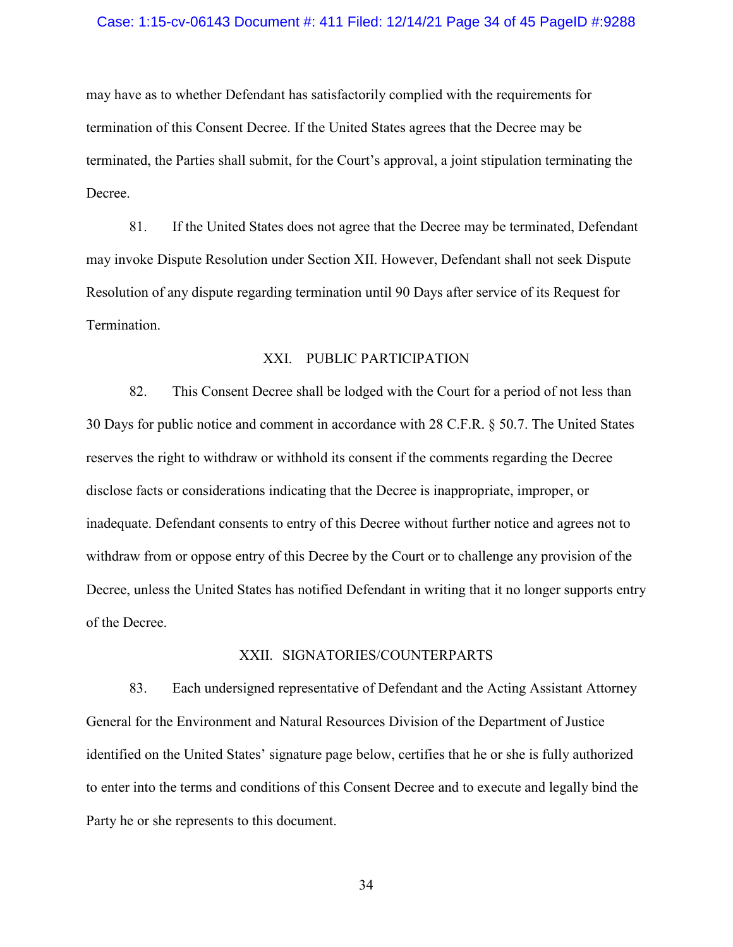#### Case: 1:15-cv-06143 Document #: 411 Filed: 12/14/21 Page 34 of 45 PageID #:9288

may have as to whether Defendant has satisfactorily complied with the requirements for termination of this Consent Decree. If the United States agrees that the Decree may be terminated, the Parties shall submit, for the Court's approval, a joint stipulation terminating the Decree.

81. If the United States does not agree that the Decree may be terminated, Defendant may invoke Dispute Resolution under Section [XII.](#page-24-0) However, Defendant shall not seek Dispute Resolution of any dispute regarding termination until 90 Days after service of its Request for Termination.

## XXI. PUBLIC PARTICIPATION

<span id="page-33-0"></span>82. This Consent Decree shall be lodged with the Court for a period of not less than 30 Days for public notice and comment in accordance with 28 C.F.R. § 50.7. The United States reserves the right to withdraw or withhold its consent if the comments regarding the Decree disclose facts or considerations indicating that the Decree is inappropriate, improper, or inadequate. Defendant consents to entry of this Decree without further notice and agrees not to withdraw from or oppose entry of this Decree by the Court or to challenge any provision of the Decree, unless the United States has notified Defendant in writing that it no longer supports entry of the Decree.

#### XXII. SIGNATORIES/COUNTERPARTS

83. Each undersigned representative of Defendant and the Acting Assistant Attorney General for the Environment and Natural Resources Division of the Department of Justice identified on the United States' signature page below, certifies that he or she is fully authorized to enter into the terms and conditions of this Consent Decree and to execute and legally bind the Party he or she represents to this document.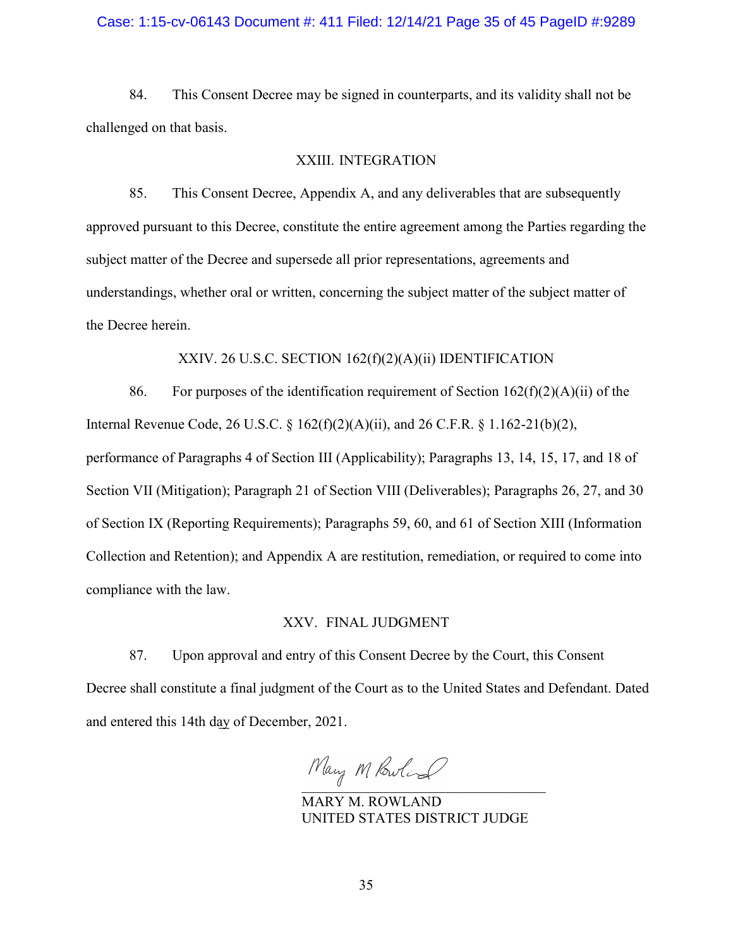## Case: 1:15-cv-06143 Document #: 411 Filed: 12/14/21 Page 35 of 45 PageID #:9289

84. This Consent Decree may be signed in counterparts, and its validity shall not be challenged on that basis.

#### XXIII. INTEGRATION

85. This Consent Decree, Appendix A, and any deliverables that are subsequently approved pursuant to this Decree, constitute the entire agreement among the Parties regarding the subject matter of the Decree and supersede all prior representations, agreements and understandings, whether oral or written, concerning the subject matter of the subject matter of the Decree herein.

## XXIV. 26 U.S.C. SECTION 162(f)(2)(A)(ii) IDENTIFICATION

86. For purposes of the identification requirement of Section  $162(f)(2)(A)(ii)$  of the Internal Revenue Code, 26 U.S.C. § 162(f)(2)(A)(ii), and 26 C.F.R. § 1.162-21(b)(2), performance of Paragraphs 4 of Section III (Applicability); Paragraphs 13, 14, 15, 17, and 18 of Section VII (Mitigation); Paragraph 21 of Section VIII (Deliverables); Paragraphs 26, 27, and 30 of Section IX (Reporting Requirements); Paragraphs 59, 60, and 61 of Section XIII (Information

Collection and Retention); and Appendix A are restitution, remediation, or required to come into compliance with the law.

#### XXV. FINAL JUDGMENT

87. Upon approval and entry of this Consent Decree by the Court, this Consent Decree shall constitute a final judgment of the Court as to the United States and Defendant. Dated and entered this 14th day of December, 2021.

Mary M Powling

MARY M. ROWLAND UNITED STATES DISTRICT JUDGE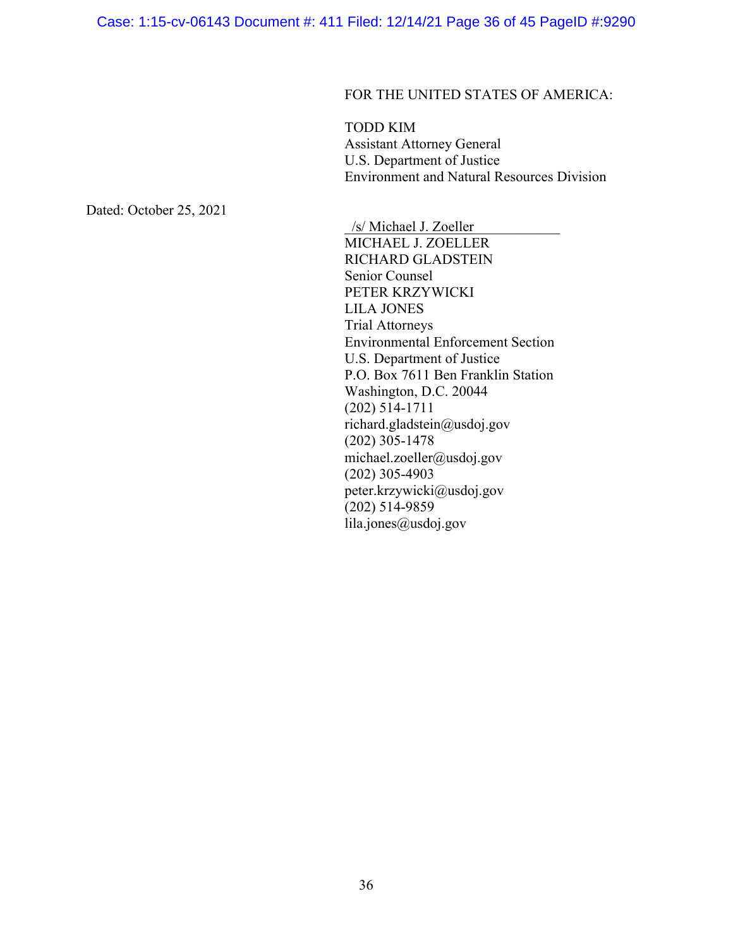## FOR THE UNITED STATES OF AMERICA:

TODD KIM Assistant Attorney General U.S. Department of Justice Environment and Natural Resources Division

Dated: October 25, 2021

\_/s/ Michael J. Zoeller\_\_\_\_\_\_\_\_\_\_\_\_ MICHAEL J. ZOELLER RICHARD GLADSTEIN Senior Counsel PETER KRZYWICKI LILA JONES Trial Attorneys Environmental Enforcement Section U.S. Department of Justice P.O. Box 7611 Ben Franklin Station Washington, D.C. 20044 (202) 514-1711 richard.gladstein@usdoj.gov (202) 305-1478 michael.zoeller@usdoj.gov (202) 305-4903 peter.krzywicki@usdoj.gov (202) 514-9859 lila.jones@usdoj.gov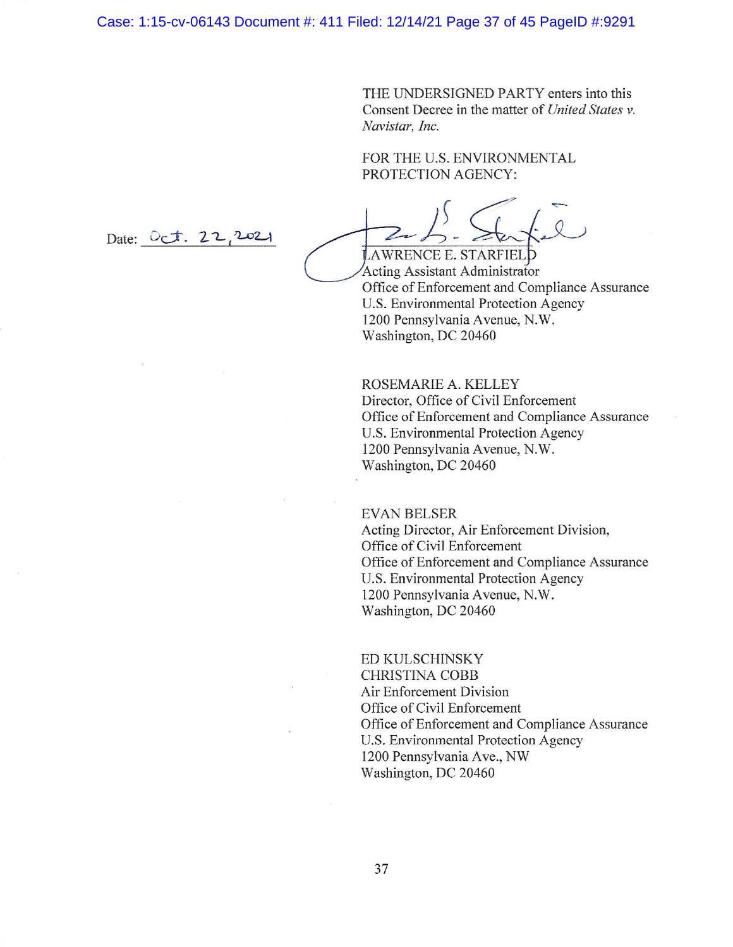THE UNDERSIGNED PARTY enters into this Consent Decree in the matter of United States v. Navistar, Inc.

FOR THE U.S. ENVIRONMENTAL PROTECTION AGENCY:

LAWRENCE E. STARFIELD Acting Assistant Administrator Office of Enforcement and Compliance Assurance **U.S. Environmental Protection Agency** 1200 Pennsylvania Avenue, N.W. Washington, DC 20460

ROSEMARIE A. KELLEY Director, Office of Civil Enforcement Office of Enforcement and Compliance Assurance U.S. Environmental Protection Agency 1200 Pennsylvania Avenue, N.W. Washington, DC 20460

## **EVAN BELSER**

Acting Director, Air Enforcement Division, Office of Civil Enforcement Office of Enforcement and Compliance Assurance U.S. Environmental Protection Agency 1200 Pennsylvania Avenue, N.W. Washington, DC 20460

ED KULSCHINSKY **CHRISTINA COBB** Air Enforcement Division Office of Civil Enforcement Office of Enforcement and Compliance Assurance U.S. Environmental Protection Agency 1200 Pennsylvania Ave., NW Washington, DC 20460

Date:  $0ct. 22.202$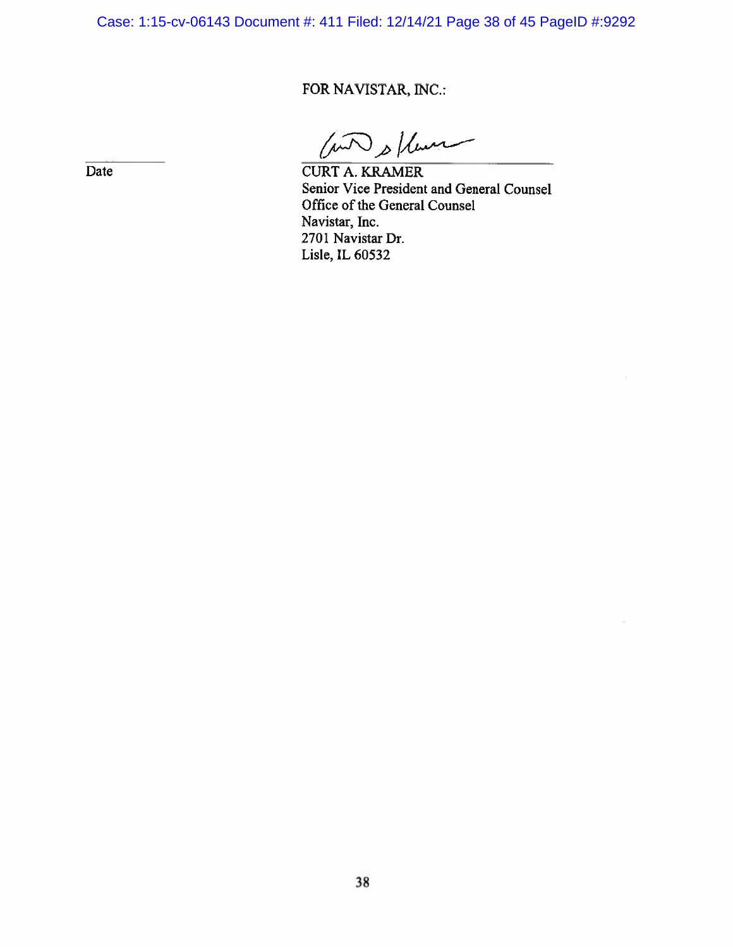Case: 1:15-cv-06143 Document #: 411 Filed: 12/14/21 Page 38 of 45 PageID #:9292

## FOR NAVISTAR, INC.:

( with s ) hours

**CURT A. KRAMER** Senior Vice President and General Counsel Office of the General Counsel Navistar, Inc. 2701 Navistar Dr. Lisle, IL 60532

Date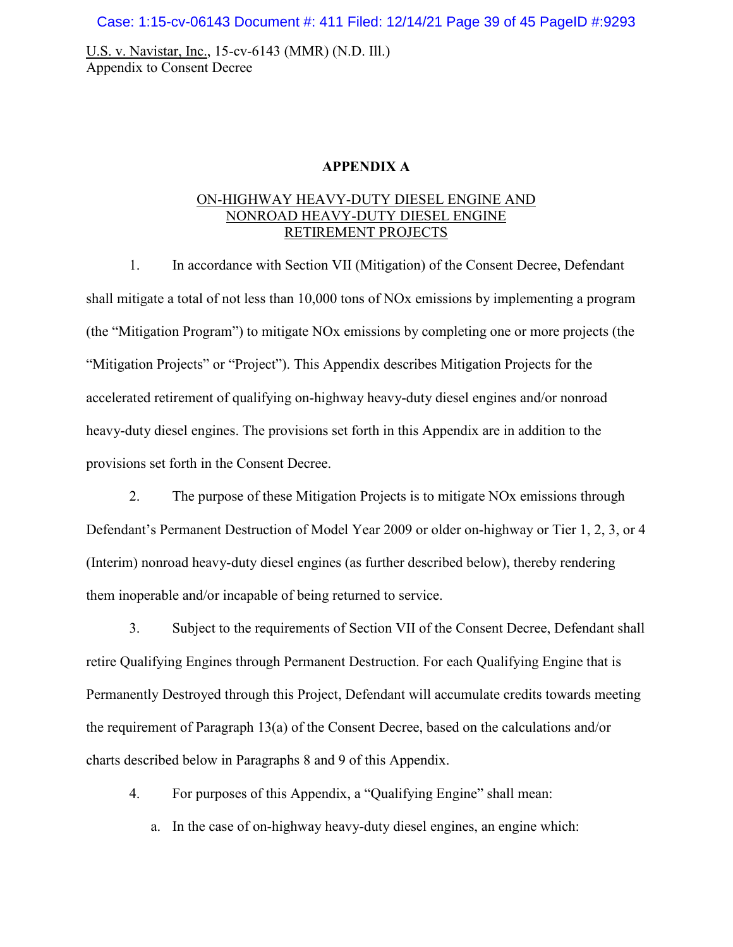Case: 1:15-cv-06143 Document #: 411 Filed: 12/14/21 Page 39 of 45 PageID #:9293

U.S. v. Navistar, Inc., 15-cv-6143 (MMR) (N.D. Ill.) Appendix to Consent Decree

## **APPENDIX A**

## ON-HIGHWAY HEAVY-DUTY DIESEL ENGINE AND NONROAD HEAVY-DUTY DIESEL ENGINE RETIREMENT PROJECTS

1. In accordance with Section VII (Mitigation) of the Consent Decree, Defendant shall mitigate a total of not less than 10,000 tons of NOx emissions by implementing a program (the "Mitigation Program") to mitigate NOx emissions by completing one or more projects (the "Mitigation Projects" or "Project"). This Appendix describes Mitigation Projects for the accelerated retirement of qualifying on-highway heavy-duty diesel engines and/or nonroad heavy-duty diesel engines. The provisions set forth in this Appendix are in addition to the provisions set forth in the Consent Decree.

2. The purpose of these Mitigation Projects is to mitigate NOx emissions through Defendant's Permanent Destruction of Model Year 2009 or older on-highway or Tier 1, 2, 3, or 4 (Interim) nonroad heavy-duty diesel engines (as further described below), thereby rendering them inoperable and/or incapable of being returned to service.

3. Subject to the requirements of Section VII of the Consent Decree, Defendant shall retire Qualifying Engines through Permanent Destruction. For each Qualifying Engine that is Permanently Destroyed through this Project, Defendant will accumulate credits towards meeting the requirement of Paragraph 13(a) of the Consent Decree, based on the calculations and/or charts described below in Paragraphs 8 and 9 of this Appendix.

4. For purposes of this Appendix, a "Qualifying Engine" shall mean:

a. In the case of on-highway heavy-duty diesel engines, an engine which: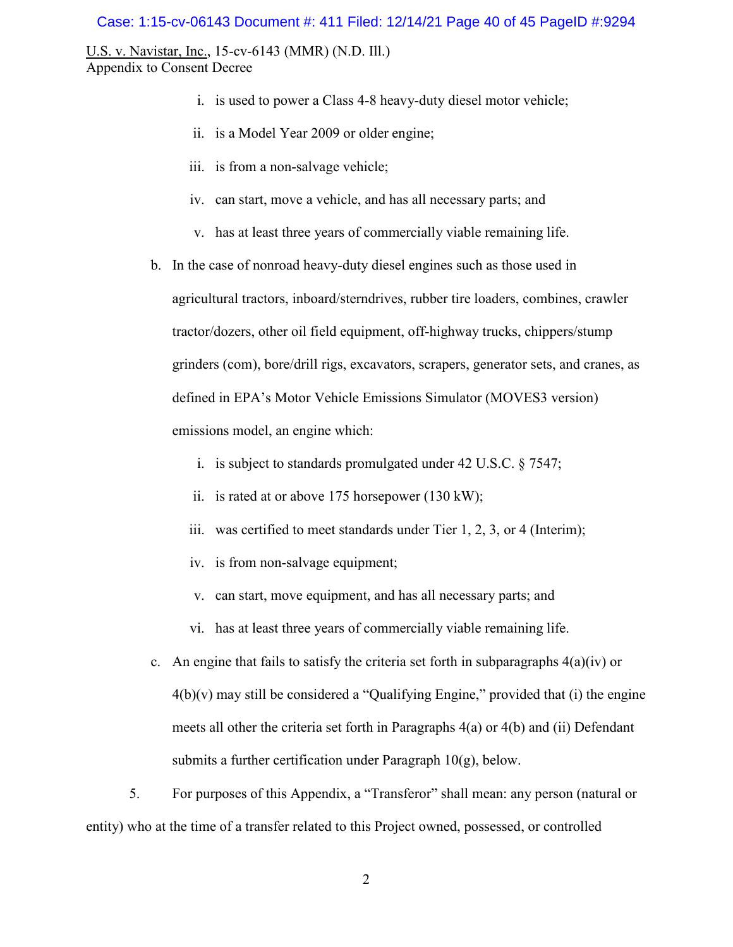#### Case: 1:15-cv-06143 Document #: 411 Filed: 12/14/21 Page 40 of 45 PageID #:9294

U.S. v. Navistar, Inc., 15-cv-6143 (MMR) (N.D. Ill.) Appendix to Consent Decree

- i. is used to power a Class 4-8 heavy-duty diesel motor vehicle;
- ii. is a Model Year 2009 or older engine;
- iii. is from a non-salvage vehicle;
- iv. can start, move a vehicle, and has all necessary parts; and
- v. has at least three years of commercially viable remaining life.

b. In the case of nonroad heavy-duty diesel engines such as those used in agricultural tractors, inboard/sterndrives, rubber tire loaders, combines, crawler tractor/dozers, other oil field equipment, off-highway trucks, chippers/stump grinders (com), bore/drill rigs, excavators, scrapers, generator sets, and cranes, as defined in EPA's Motor Vehicle Emissions Simulator (MOVES3 version) emissions model, an engine which:

- i. is subject to standards promulgated under 42 U.S.C. § 7547;
- ii. is rated at or above 175 horsepower (130 kW);
- iii. was certified to meet standards under Tier 1, 2, 3, or 4 (Interim);
- iv. is from non-salvage equipment;
- v. can start, move equipment, and has all necessary parts; and
- vi. has at least three years of commercially viable remaining life.
- c. An engine that fails to satisfy the criteria set forth in subparagraphs  $4(a)(iv)$  or  $4(b)(v)$  may still be considered a "Qualifying Engine," provided that (i) the engine meets all other the criteria set forth in Paragraphs 4(a) or 4(b) and (ii) Defendant submits a further certification under Paragraph  $10(g)$ , below.

5. For purposes of this Appendix, a "Transferor" shall mean: any person (natural or entity) who at the time of a transfer related to this Project owned, possessed, or controlled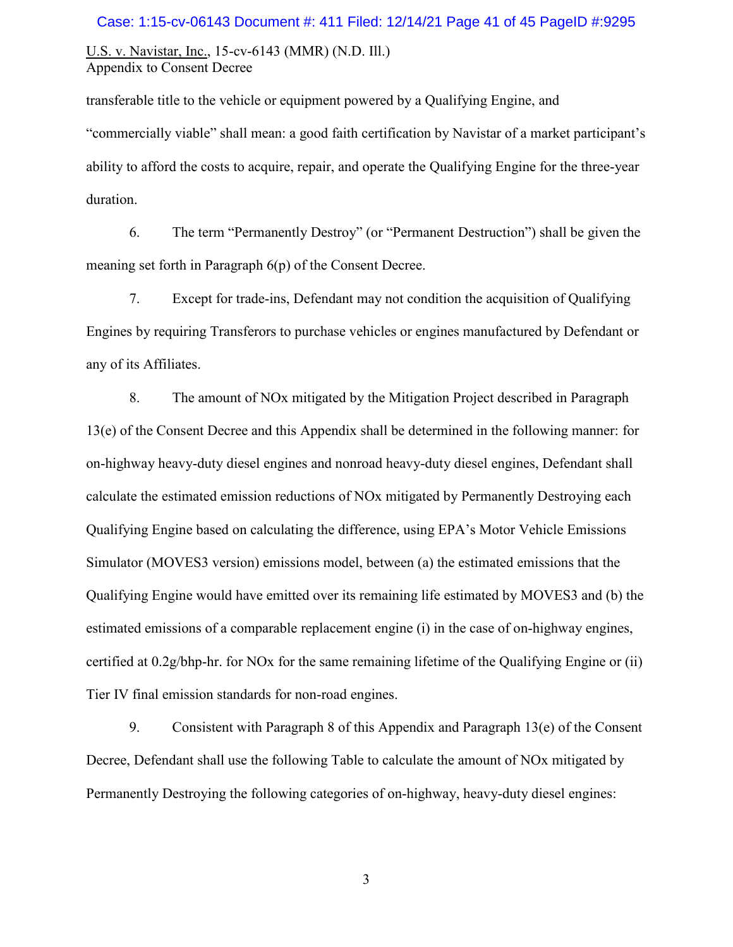#### Case: 1:15-cv-06143 Document #: 411 Filed: 12/14/21 Page 41 of 45 PageID #:9295

U.S. v. Navistar, Inc., 15-cv-6143 (MMR) (N.D. Ill.) Appendix to Consent Decree

transferable title to the vehicle or equipment powered by a Qualifying Engine, and "commercially viable" shall mean: a good faith certification by Navistar of a market participant's ability to afford the costs to acquire, repair, and operate the Qualifying Engine for the three-year duration.

6. The term "Permanently Destroy" (or "Permanent Destruction") shall be given the meaning set forth in Paragraph 6(p) of the Consent Decree.

7. Except for trade-ins, Defendant may not condition the acquisition of Qualifying Engines by requiring Transferors to purchase vehicles or engines manufactured by Defendant or any of its Affiliates.

8. The amount of NOx mitigated by the Mitigation Project described in Paragraph 13(e) of the Consent Decree and this Appendix shall be determined in the following manner: for on-highway heavy-duty diesel engines and nonroad heavy-duty diesel engines, Defendant shall calculate the estimated emission reductions of NOx mitigated by Permanently Destroying each Qualifying Engine based on calculating the difference, using EPA's Motor Vehicle Emissions Simulator (MOVES3 version) emissions model, between (a) the estimated emissions that the Qualifying Engine would have emitted over its remaining life estimated by MOVES3 and (b) the estimated emissions of a comparable replacement engine (i) in the case of on-highway engines, certified at 0.2g/bhp-hr. for NOx for the same remaining lifetime of the Qualifying Engine or (ii) Tier IV final emission standards for non-road engines.

9. Consistent with Paragraph 8 of this Appendix and Paragraph 13(e) of the Consent Decree, Defendant shall use the following Table to calculate the amount of NOx mitigated by Permanently Destroying the following categories of on-highway, heavy-duty diesel engines: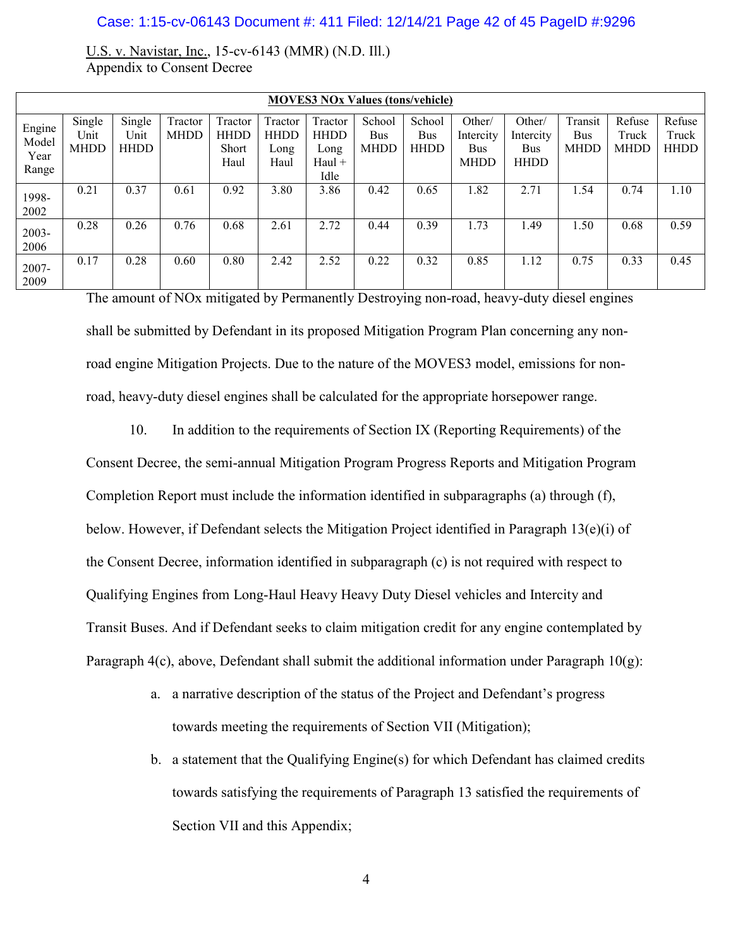#### Case: 1:15-cv-06143 Document #: 411 Filed: 12/14/21 Page 42 of 45 PageID #:9296

U.S. v. Navistar, Inc., 15-cv-6143 (MMR) (N.D. Ill.) Appendix to Consent Decree

| <b>MOVES3 NOx Values (tons/vehicle)</b> |                               |                               |                        |                                         |                                        |                                                    |                              |                              |                                           |                                           |                               |                                |                                |
|-----------------------------------------|-------------------------------|-------------------------------|------------------------|-----------------------------------------|----------------------------------------|----------------------------------------------------|------------------------------|------------------------------|-------------------------------------------|-------------------------------------------|-------------------------------|--------------------------------|--------------------------------|
| Engine<br>Model<br>Year<br>Range        | Single<br>Unit<br><b>MHDD</b> | Single<br>Unit<br><b>HHDD</b> | Tractor<br><b>MHDD</b> | Tractor<br><b>HHDD</b><br>Short<br>Haul | Tractor<br><b>HHDD</b><br>Long<br>Haul | Tractor<br><b>HHDD</b><br>Long<br>$Haul +$<br>Idle | School<br>Bus<br><b>MHDD</b> | School<br>Bus<br><b>HHDD</b> | Other/<br>Intercity<br>Bus<br><b>MHDD</b> | Other/<br>Intercity<br>Bus<br><b>HHDD</b> | Transit<br>Bus<br><b>MHDD</b> | Refuse<br>Truck<br><b>MHDD</b> | Refuse<br>Truck<br><b>HHDD</b> |
| 1998-<br>2002                           | 0.21                          | 0.37                          | 0.61                   | 0.92                                    | 3.80                                   | 3.86                                               | 0.42                         | 0.65                         | 1.82                                      | 2.71                                      | 1.54                          | 0.74                           | 1.10                           |
| 2003-<br>2006                           | 0.28                          | 0.26                          | 0.76                   | 0.68                                    | 2.61                                   | 2.72                                               | 0.44                         | 0.39                         | 1.73                                      | 1.49                                      | 1.50                          | 0.68                           | 0.59                           |
| $2007 -$<br>2009                        | 0.17                          | 0.28                          | 0.60                   | 0.80                                    | 2.42                                   | 2.52                                               | 0.22                         | 0.32                         | 0.85                                      | 1.12                                      | 0.75                          | 0.33                           | 0.45                           |

The amount of NOx mitigated by Permanently Destroying non-road, heavy-duty diesel engines shall be submitted by Defendant in its proposed Mitigation Program Plan concerning any nonroad engine Mitigation Projects. Due to the nature of the MOVES3 model, emissions for nonroad, heavy-duty diesel engines shall be calculated for the appropriate horsepower range.

10. In addition to the requirements of Section IX (Reporting Requirements) of the Consent Decree, the semi-annual Mitigation Program Progress Reports and Mitigation Program Completion Report must include the information identified in subparagraphs (a) through (f), below. However, if Defendant selects the Mitigation Project identified in Paragraph 13(e)(i) of the Consent Decree, information identified in subparagraph (c) is not required with respect to Qualifying Engines from Long-Haul Heavy Heavy Duty Diesel vehicles and Intercity and Transit Buses. And if Defendant seeks to claim mitigation credit for any engine contemplated by Paragraph 4(c), above, Defendant shall submit the additional information under Paragraph  $10(g)$ :

- a. a narrative description of the status of the Project and Defendant's progress towards meeting the requirements of Section VII (Mitigation);
- b. a statement that the Qualifying Engine(s) for which Defendant has claimed credits towards satisfying the requirements of Paragraph 13 satisfied the requirements of Section VII and this Appendix;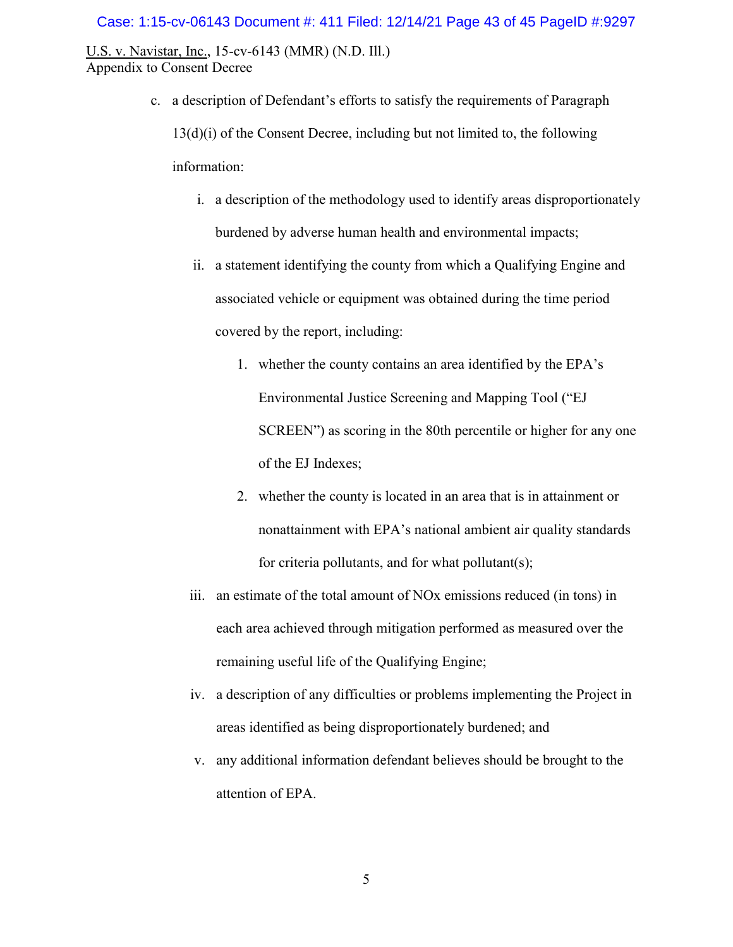#### Case: 1:15-cv-06143 Document #: 411 Filed: 12/14/21 Page 43 of 45 PageID #:9297

U.S. v. Navistar, Inc., 15-cv-6143 (MMR) (N.D. Ill.) Appendix to Consent Decree

- c. a description of Defendant's efforts to satisfy the requirements of Paragraph 13(d)(i) of the Consent Decree, including but not limited to, the following information:
	- i. a description of the methodology used to identify areas disproportionately burdened by adverse human health and environmental impacts;
	- ii. a statement identifying the county from which a Qualifying Engine and associated vehicle or equipment was obtained during the time period covered by the report, including:
		- 1. whether the county contains an area identified by the EPA's Environmental Justice Screening and Mapping Tool ("EJ SCREEN") as scoring in the 80th percentile or higher for any one of the EJ Indexes;
		- 2. whether the county is located in an area that is in attainment or nonattainment with EPA's national ambient air quality standards for criteria pollutants, and for what pollutant(s);
	- iii. an estimate of the total amount of NOx emissions reduced (in tons) in each area achieved through mitigation performed as measured over the remaining useful life of the Qualifying Engine;
	- iv. a description of any difficulties or problems implementing the Project in areas identified as being disproportionately burdened; and
	- v. any additional information defendant believes should be brought to the attention of EPA.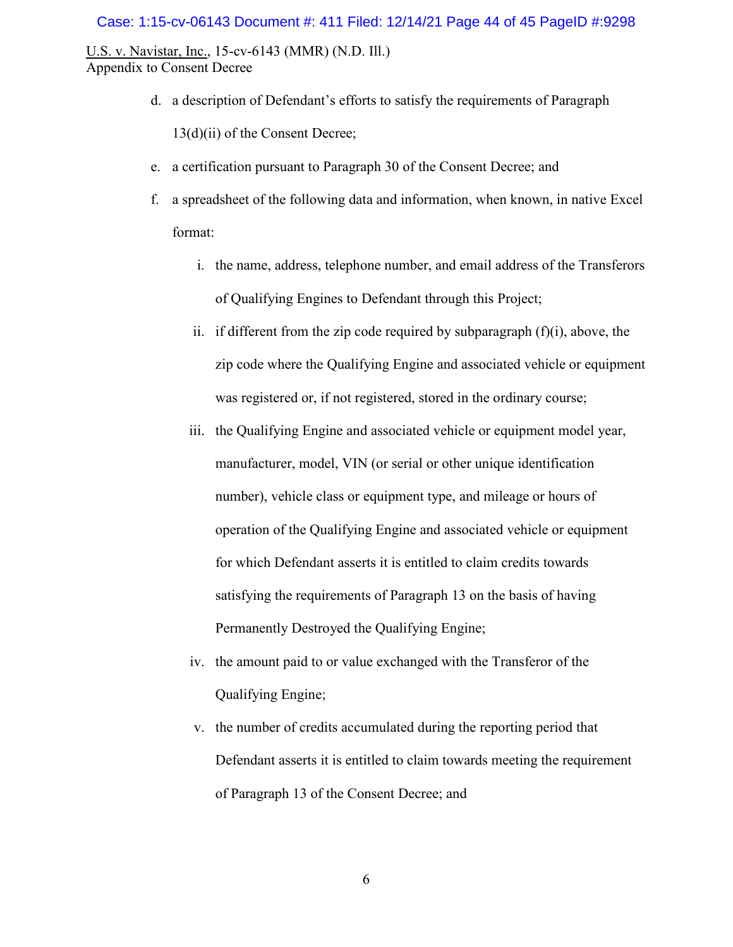#### Case: 1:15-cv-06143 Document #: 411 Filed: 12/14/21 Page 44 of 45 PageID #:9298

U.S. v. Navistar, Inc., 15-cv-6143 (MMR) (N.D. Ill.) Appendix to Consent Decree

d. a description of Defendant's efforts to satisfy the requirements of Paragraph

13(d)(ii) of the Consent Decree;

- e. a certification pursuant to Paragraph 30 of the Consent Decree; and
- f. a spreadsheet of the following data and information, when known, in native Excel format:
	- i. the name, address, telephone number, and email address of the Transferors of Qualifying Engines to Defendant through this Project;
	- ii. if different from the zip code required by subparagraph  $(f)(i)$ , above, the zip code where the Qualifying Engine and associated vehicle or equipment was registered or, if not registered, stored in the ordinary course;
	- iii. the Qualifying Engine and associated vehicle or equipment model year, manufacturer, model, VIN (or serial or other unique identification number), vehicle class or equipment type, and mileage or hours of operation of the Qualifying Engine and associated vehicle or equipment for which Defendant asserts it is entitled to claim credits towards satisfying the requirements of Paragraph 13 on the basis of having Permanently Destroyed the Qualifying Engine;
	- iv. the amount paid to or value exchanged with the Transferor of the Qualifying Engine;
	- v. the number of credits accumulated during the reporting period that Defendant asserts it is entitled to claim towards meeting the requirement of Paragraph 13 of the Consent Decree; and